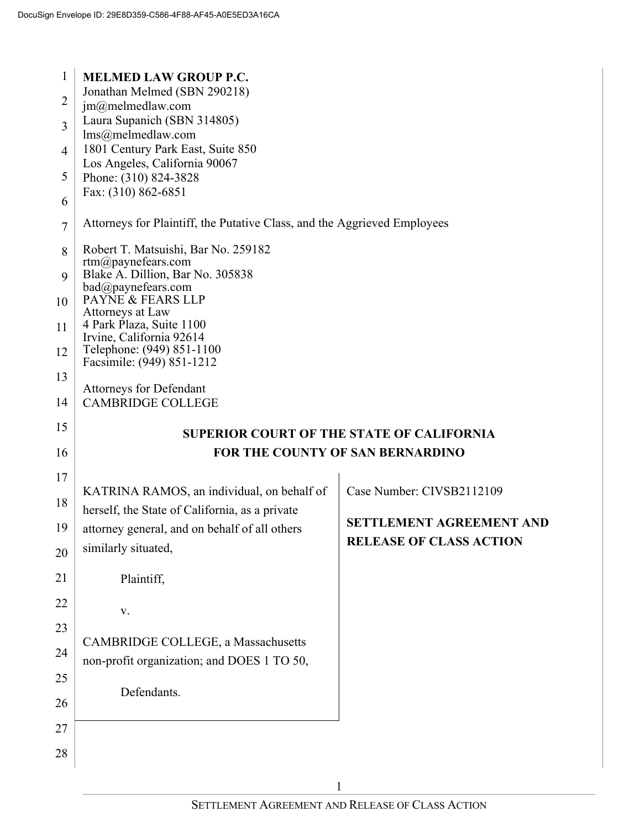| 1              | <b>MELMED LAW GROUP P.C.</b>                                             |                                                  |
|----------------|--------------------------------------------------------------------------|--------------------------------------------------|
| $\overline{c}$ | Jonathan Melmed (SBN 290218)<br>$jm@m$ elmedlaw.com                      |                                                  |
| 3              | Laura Supanich (SBN 314805)                                              |                                                  |
|                | lms@melmedlaw.com                                                        |                                                  |
| $\overline{4}$ | 1801 Century Park East, Suite 850<br>Los Angeles, California 90067       |                                                  |
| 5              | Phone: (310) 824-3828                                                    |                                                  |
| 6              | Fax: (310) 862-6851                                                      |                                                  |
| $\tau$         | Attorneys for Plaintiff, the Putative Class, and the Aggrieved Employees |                                                  |
| 8              | Robert T. Matsuishi, Bar No. 259182<br>$rtm(a)$ payne fears.com          |                                                  |
| 9              | Blake A. Dillion, Bar No. 305838                                         |                                                  |
| 10             | bad@paynefears.com<br>PAYNE & FEARS LLP                                  |                                                  |
|                | Attorneys at Law<br>4 Park Plaza, Suite 1100                             |                                                  |
| 11             | Irvine, California 92614                                                 |                                                  |
| 12             | Telephone: (949) 851-1100<br>Facsimile: (949) 851-1212                   |                                                  |
| 13             |                                                                          |                                                  |
| 14             | <b>Attorneys for Defendant</b><br><b>CAMBRIDGE COLLEGE</b>               |                                                  |
|                |                                                                          |                                                  |
| 15             |                                                                          | <b>SUPERIOR COURT OF THE STATE OF CALIFORNIA</b> |
| 16             |                                                                          | FOR THE COUNTY OF SAN BERNARDINO                 |
|                |                                                                          |                                                  |
| 17             | KATRINA RAMOS, an individual, on behalf of                               | Case Number: CIVSB2112109                        |
| 18             | herself, the State of California, as a private                           |                                                  |
| 19             | attorney general, and on behalf of all others                            | <b>SETTLEMENT AGREEMENT AND</b>                  |
|                | similarly situated,                                                      | <b>RELEASE OF CLASS ACTION</b>                   |
| 20<br>21       | Plaintiff,                                                               |                                                  |
|                |                                                                          |                                                  |
| 22             | V.                                                                       |                                                  |
| 23             | <b>CAMBRIDGE COLLEGE, a Massachusetts</b>                                |                                                  |
| 24             | non-profit organization; and DOES 1 TO 50,                               |                                                  |
| 25             |                                                                          |                                                  |
|                | Defendants.                                                              |                                                  |
| 26             |                                                                          |                                                  |
| 27             |                                                                          |                                                  |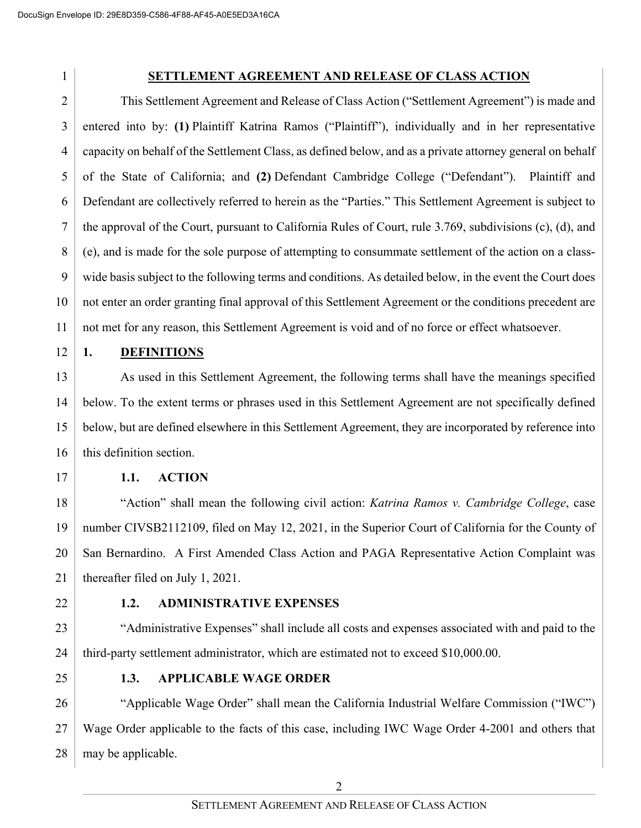### **SETTLEMENT AGREEMENT AND RELEASE OF CLASS ACTION**

2 3 4 5 6 7 8 9 10 11 This Settlement Agreement and Release of Class Action ("Settlement Agreement") is made and entered into by: **(1)** Plaintiff Katrina Ramos ("Plaintiff"), individually and in her representative capacity on behalf of the Settlement Class, as defined below, and as a private attorney general on behalf of the State of California; and **(2)** Defendant Cambridge College ("Defendant"). Plaintiff and Defendant are collectively referred to herein as the "Parties." This Settlement Agreement is subject to the approval of the Court, pursuant to California Rules of Court, rule 3.769, subdivisions (c), (d), and (e), and is made for the sole purpose of attempting to consummate settlement of the action on a classwide basis subject to the following terms and conditions. As detailed below, in the event the Court does not enter an order granting final approval of this Settlement Agreement or the conditions precedent are not met for any reason, this Settlement Agreement is void and of no force or effect whatsoever.

#### 12 **1. DEFINITIONS**

13 14 15 16 As used in this Settlement Agreement, the following terms shall have the meanings specified below. To the extent terms or phrases used in this Settlement Agreement are not specifically defined below, but are defined elsewhere in this Settlement Agreement, they are incorporated by reference into this definition section.

17

### **1.1. ACTION**

18 19 20 21 "Action" shall mean the following civil action: *Katrina Ramos v. Cambridge College*, case number CIVSB2112109, filed on May 12, 2021, in the Superior Court of California for the County of San Bernardino. A First Amended Class Action and PAGA Representative Action Complaint was thereafter filed on July 1, 2021.

22

### **1.2. ADMINISTRATIVE EXPENSES**

23 24 "Administrative Expenses" shall include all costs and expenses associated with and paid to the third-party settlement administrator, which are estimated not to exceed \$10,000.00.

25

### **1.3. APPLICABLE WAGE ORDER**

26 27 28 "Applicable Wage Order" shall mean the California Industrial Welfare Commission ("IWC") Wage Order applicable to the facts of this case, including IWC Wage Order 4-2001 and others that may be applicable.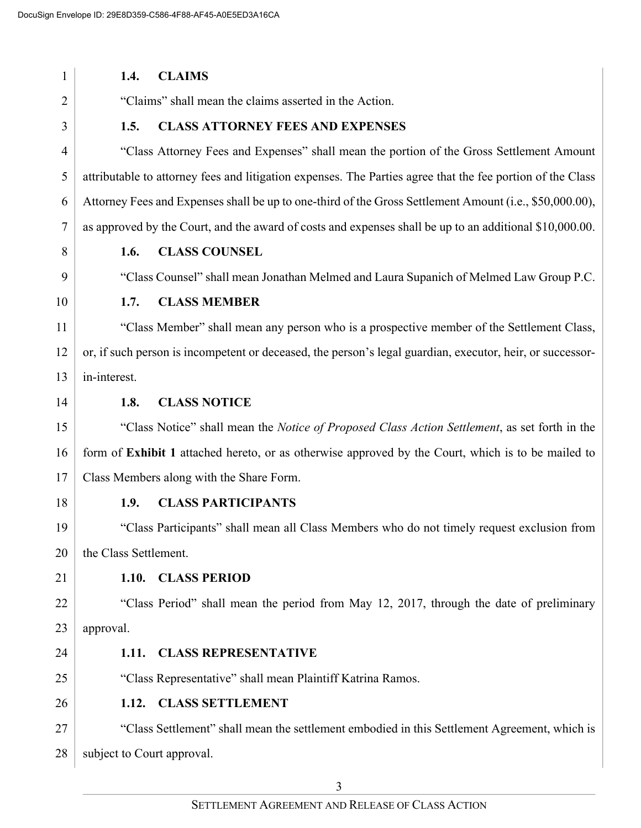| 1              | 1.4.                       | <b>CLAIMS</b>                                                                                              |
|----------------|----------------------------|------------------------------------------------------------------------------------------------------------|
| 2              |                            | "Claims" shall mean the claims asserted in the Action.                                                     |
| 3              | 1.5.                       | <b>CLASS ATTORNEY FEES AND EXPENSES</b>                                                                    |
| $\overline{4}$ |                            | "Class Attorney Fees and Expenses" shall mean the portion of the Gross Settlement Amount                   |
| 5              |                            | attributable to attorney fees and litigation expenses. The Parties agree that the fee portion of the Class |
| 6              |                            | Attorney Fees and Expenses shall be up to one-third of the Gross Settlement Amount (i.e., \$50,000.00),    |
| 7              |                            | as approved by the Court, and the award of costs and expenses shall be up to an additional \$10,000.00.    |
| 8              | 1.6.                       | <b>CLASS COUNSEL</b>                                                                                       |
| 9              |                            | "Class Counsel" shall mean Jonathan Melmed and Laura Supanich of Melmed Law Group P.C.                     |
| 10             | 1.7.                       | <b>CLASS MEMBER</b>                                                                                        |
| 11             |                            | "Class Member" shall mean any person who is a prospective member of the Settlement Class,                  |
| 12             |                            | or, if such person is incompetent or deceased, the person's legal guardian, executor, heir, or successor-  |
| 13             | in-interest.               |                                                                                                            |
| 14             | 1.8.                       | <b>CLASS NOTICE</b>                                                                                        |
| 15             |                            | "Class Notice" shall mean the Notice of Proposed Class Action Settlement, as set forth in the              |
| 16             |                            | form of Exhibit 1 attached hereto, or as otherwise approved by the Court, which is to be mailed to         |
| 17             |                            | Class Members along with the Share Form.                                                                   |
| 18             | 1.9.                       | <b>CLASS PARTICIPANTS</b>                                                                                  |
| 19             |                            | "Class Participants" shall mean all Class Members who do not timely request exclusion from                 |
| 20             | the Class Settlement.      |                                                                                                            |
| 21             |                            | 1.10. CLASS PERIOD                                                                                         |
| 22             |                            | "Class Period" shall mean the period from May 12, 2017, through the date of preliminary                    |
| 23             | approval.                  |                                                                                                            |
| 24             |                            | 1.11. CLASS REPRESENTATIVE                                                                                 |
| 25             |                            | "Class Representative" shall mean Plaintiff Katrina Ramos.                                                 |
| 26             |                            | 1.12. CLASS SETTLEMENT                                                                                     |
| 27             |                            | "Class Settlement" shall mean the settlement embodied in this Settlement Agreement, which is               |
| 28             | subject to Court approval. |                                                                                                            |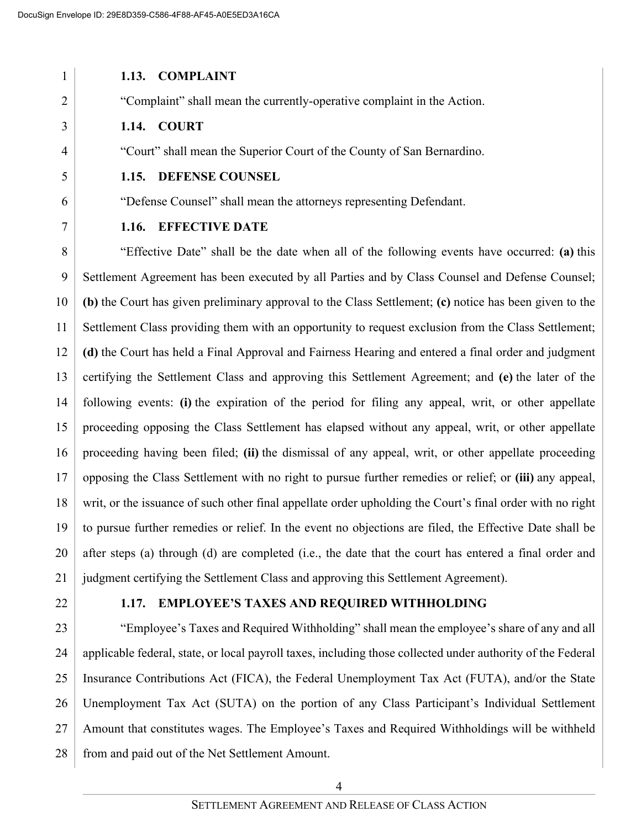#### 1 2 3 4 5 6 7 8 **1.13. COMPLAINT** "Complaint" shall mean the currently-operative complaint in the Action. **1.14. COURT** "Court" shall mean the Superior Court of the County of San Bernardino. **1.15. DEFENSE COUNSEL** "Defense Counsel" shall mean the attorneys representing Defendant. **1.16. EFFECTIVE DATE** "Effective Date" shall be the date when all of the following events have occurred: **(a)** this

9 10 11 12 13 14 15 16 17 18 19 20 21 Settlement Agreement has been executed by all Parties and by Class Counsel and Defense Counsel; **(b)** the Court has given preliminary approval to the Class Settlement; **(c)** notice has been given to the Settlement Class providing them with an opportunity to request exclusion from the Class Settlement; **(d)** the Court has held a Final Approval and Fairness Hearing and entered a final order and judgment certifying the Settlement Class and approving this Settlement Agreement; and **(e)** the later of the following events: **(i)** the expiration of the period for filing any appeal, writ, or other appellate proceeding opposing the Class Settlement has elapsed without any appeal, writ, or other appellate proceeding having been filed; **(ii)** the dismissal of any appeal, writ, or other appellate proceeding opposing the Class Settlement with no right to pursue further remedies or relief; or **(iii)** any appeal, writ, or the issuance of such other final appellate order upholding the Court's final order with no right to pursue further remedies or relief. In the event no objections are filed, the Effective Date shall be after steps (a) through (d) are completed (i.e., the date that the court has entered a final order and judgment certifying the Settlement Class and approving this Settlement Agreement).

22

### **1.17. EMPLOYEE'S TAXES AND REQUIRED WITHHOLDING**

23 24 25 26 27 28 "Employee's Taxes and Required Withholding" shall mean the employee's share of any and all applicable federal, state, or local payroll taxes, including those collected under authority of the Federal Insurance Contributions Act (FICA), the Federal Unemployment Tax Act (FUTA), and/or the State Unemployment Tax Act (SUTA) on the portion of any Class Participant's Individual Settlement Amount that constitutes wages. The Employee's Taxes and Required Withholdings will be withheld from and paid out of the Net Settlement Amount.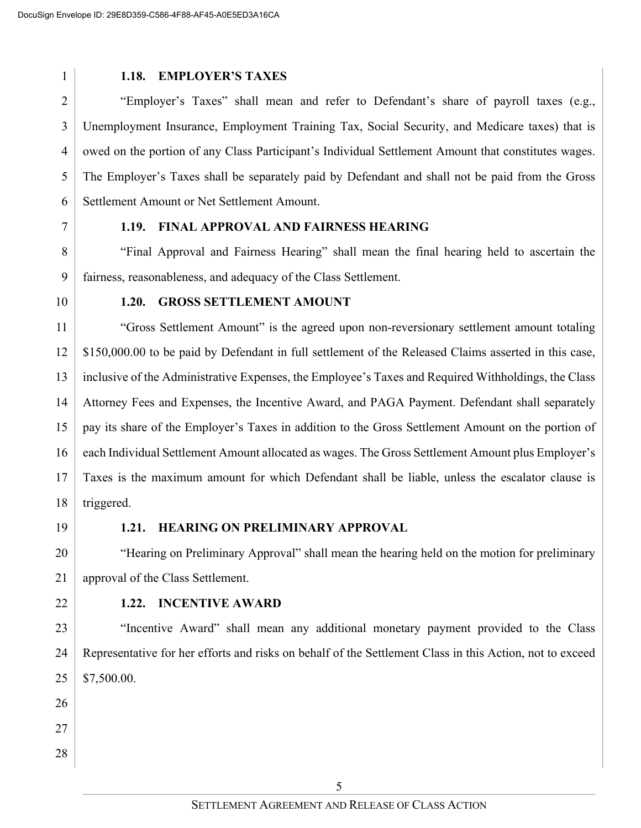#### **1.18. EMPLOYER'S TAXES**

2 3 4 5 6 "Employer's Taxes" shall mean and refer to Defendant's share of payroll taxes (e.g., Unemployment Insurance, Employment Training Tax, Social Security, and Medicare taxes) that is owed on the portion of any Class Participant's Individual Settlement Amount that constitutes wages. The Employer's Taxes shall be separately paid by Defendant and shall not be paid from the Gross Settlement Amount or Net Settlement Amount.

7

#### **1.19. FINAL APPROVAL AND FAIRNESS HEARING**

8 9 "Final Approval and Fairness Hearing" shall mean the final hearing held to ascertain the fairness, reasonableness, and adequacy of the Class Settlement.

10

#### **1.20. GROSS SETTLEMENT AMOUNT**

11 12 13 14 15 16 17 18 "Gross Settlement Amount" is the agreed upon non-reversionary settlement amount totaling \$150,000.00 to be paid by Defendant in full settlement of the Released Claims asserted in this case, inclusive of the Administrative Expenses, the Employee's Taxes and Required Withholdings, the Class Attorney Fees and Expenses, the Incentive Award, and PAGA Payment. Defendant shall separately pay its share of the Employer's Taxes in addition to the Gross Settlement Amount on the portion of each Individual Settlement Amount allocated as wages. The Gross Settlement Amount plus Employer's Taxes is the maximum amount for which Defendant shall be liable, unless the escalator clause is triggered.

19

#### **1.21. HEARING ON PRELIMINARY APPROVAL**

20 21 "Hearing on Preliminary Approval" shall mean the hearing held on the motion for preliminary approval of the Class Settlement.

22

#### **1.22. INCENTIVE AWARD**

23 24 25 "Incentive Award" shall mean any additional monetary payment provided to the Class Representative for her efforts and risks on behalf of the Settlement Class in this Action, not to exceed \$7,500.00.

- 26
- 27
- 28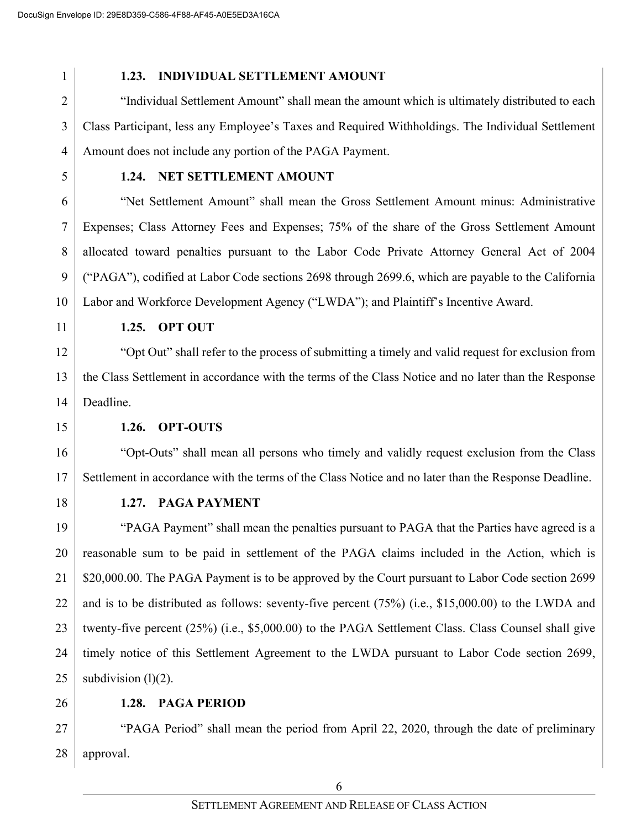1

### **1.23. INDIVIDUAL SETTLEMENT AMOUNT**

3 4 "Individual Settlement Amount" shall mean the amount which is ultimately distributed to each Class Participant, less any Employee's Taxes and Required Withholdings. The Individual Settlement Amount does not include any portion of the PAGA Payment.

5

### **1.24. NET SETTLEMENT AMOUNT**

6 7 8 9 10 "Net Settlement Amount" shall mean the Gross Settlement Amount minus: Administrative Expenses; Class Attorney Fees and Expenses; 75% of the share of the Gross Settlement Amount allocated toward penalties pursuant to the Labor Code Private Attorney General Act of 2004 ("PAGA"), codified at Labor Code sections 2698 through 2699.6, which are payable to the California Labor and Workforce Development Agency ("LWDA"); and Plaintiff's Incentive Award.

11

### **1.25. OPT OUT**

12 13 14 "Opt Out" shall refer to the process of submitting a timely and valid request for exclusion from the Class Settlement in accordance with the terms of the Class Notice and no later than the Response Deadline.

15

### **1.26. OPT-OUTS**

16 17 "Opt-Outs" shall mean all persons who timely and validly request exclusion from the Class Settlement in accordance with the terms of the Class Notice and no later than the Response Deadline.

18

### **1.27. PAGA PAYMENT**

19 20 21 22 23 24 25 "PAGA Payment" shall mean the penalties pursuant to PAGA that the Parties have agreed is a reasonable sum to be paid in settlement of the PAGA claims included in the Action, which is \$20,000.00. The PAGA Payment is to be approved by the Court pursuant to Labor Code section 2699 and is to be distributed as follows: seventy-five percent (75%) (i.e., \$15,000.00) to the LWDA and twenty-five percent (25%) (i.e., \$5,000.00) to the PAGA Settlement Class. Class Counsel shall give timely notice of this Settlement Agreement to the LWDA pursuant to Labor Code section 2699, subdivision  $(l)(2)$ .

26

### **1.28. PAGA PERIOD**

27 28 "PAGA Period" shall mean the period from April 22, 2020, through the date of preliminary approval.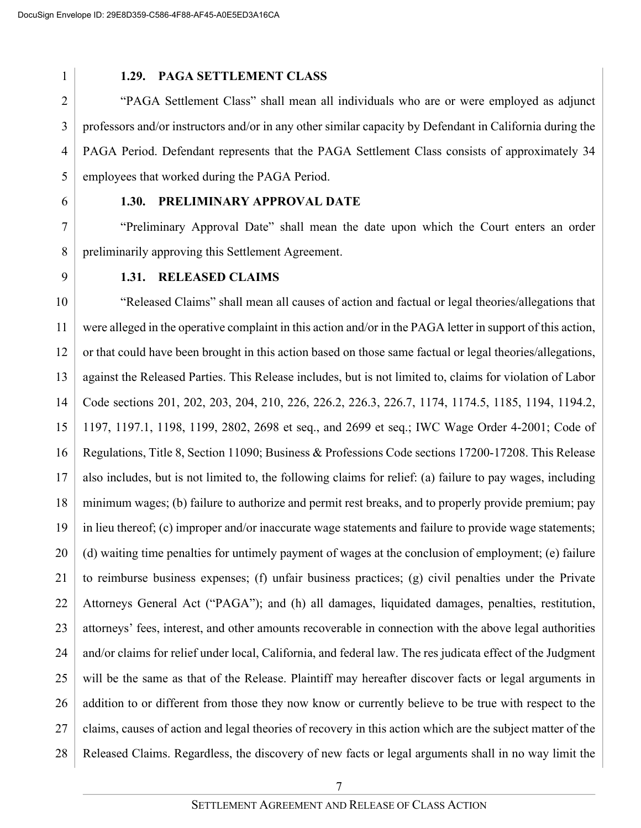1

### **1.29. PAGA SETTLEMENT CLASS**

3 4 5 "PAGA Settlement Class" shall mean all individuals who are or were employed as adjunct professors and/or instructors and/or in any other similar capacity by Defendant in California during the PAGA Period. Defendant represents that the PAGA Settlement Class consists of approximately 34 employees that worked during the PAGA Period.

6

#### **1.30. PRELIMINARY APPROVAL DATE**

7 8 "Preliminary Approval Date" shall mean the date upon which the Court enters an order preliminarily approving this Settlement Agreement.

9

#### **1.31. RELEASED CLAIMS**

10 11 12 13 14 15 16 17 18 19 20 21 22 23 24 25 26 27 28 "Released Claims" shall mean all causes of action and factual or legal theories/allegations that were alleged in the operative complaint in this action and/or in the PAGA letter in support of this action, or that could have been brought in this action based on those same factual or legal theories/allegations, against the Released Parties. This Release includes, but is not limited to, claims for violation of Labor Code sections 201, 202, 203, 204, 210, 226, 226.2, 226.3, 226.7, 1174, 1174.5, 1185, 1194, 1194.2, 1197, 1197.1, 1198, 1199, 2802, 2698 et seq., and 2699 et seq.; IWC Wage Order 4-2001; Code of Regulations, Title 8, Section 11090; Business & Professions Code sections 17200-17208. This Release also includes, but is not limited to, the following claims for relief: (a) failure to pay wages, including minimum wages; (b) failure to authorize and permit rest breaks, and to properly provide premium; pay in lieu thereof; (c) improper and/or inaccurate wage statements and failure to provide wage statements; (d) waiting time penalties for untimely payment of wages at the conclusion of employment; (e) failure to reimburse business expenses; (f) unfair business practices; (g) civil penalties under the Private Attorneys General Act ("PAGA"); and (h) all damages, liquidated damages, penalties, restitution, attorneys' fees, interest, and other amounts recoverable in connection with the above legal authorities and/or claims for relief under local, California, and federal law. The res judicata effect of the Judgment will be the same as that of the Release. Plaintiff may hereafter discover facts or legal arguments in addition to or different from those they now know or currently believe to be true with respect to the claims, causes of action and legal theories of recovery in this action which are the subject matter of the Released Claims. Regardless, the discovery of new facts or legal arguments shall in no way limit the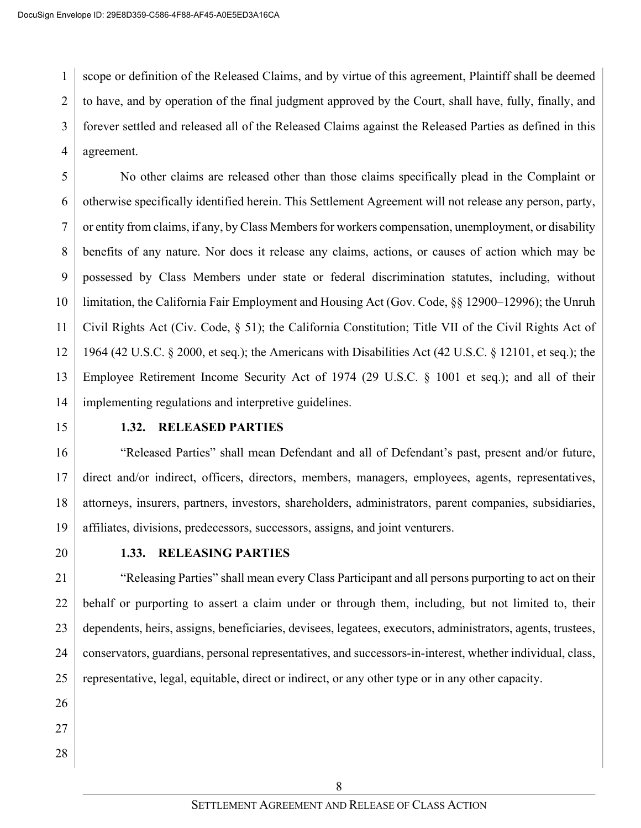1 2 3 4 scope or definition of the Released Claims, and by virtue of this agreement, Plaintiff shall be deemed to have, and by operation of the final judgment approved by the Court, shall have, fully, finally, and forever settled and released all of the Released Claims against the Released Parties as defined in this agreement.

5 6 7 8 9 10 11 12 13 14 No other claims are released other than those claims specifically plead in the Complaint or otherwise specifically identified herein. This Settlement Agreement will not release any person, party, or entity from claims, if any, by Class Members for workers compensation, unemployment, or disability benefits of any nature. Nor does it release any claims, actions, or causes of action which may be possessed by Class Members under state or federal discrimination statutes, including, without limitation, the California Fair Employment and Housing Act (Gov. Code, §§ 12900–12996); the Unruh Civil Rights Act (Civ. Code, § 51); the California Constitution; Title VII of the Civil Rights Act of 1964 (42 U.S.C. § 2000, et seq.); the Americans with Disabilities Act (42 U.S.C. § 12101, et seq.); the Employee Retirement Income Security Act of 1974 (29 U.S.C. § 1001 et seq.); and all of their implementing regulations and interpretive guidelines.

15

### **1.32. RELEASED PARTIES**

16 17 18 19 "Released Parties" shall mean Defendant and all of Defendant's past, present and/or future, direct and/or indirect, officers, directors, members, managers, employees, agents, representatives, attorneys, insurers, partners, investors, shareholders, administrators, parent companies, subsidiaries, affiliates, divisions, predecessors, successors, assigns, and joint venturers.

20

### **1.33. RELEASING PARTIES**

21 22 23 24 25 "Releasing Parties" shall mean every Class Participant and all persons purporting to act on their behalf or purporting to assert a claim under or through them, including, but not limited to, their dependents, heirs, assigns, beneficiaries, devisees, legatees, executors, administrators, agents, trustees, conservators, guardians, personal representatives, and successors-in-interest, whether individual, class, representative, legal, equitable, direct or indirect, or any other type or in any other capacity.

- 26
- 27
- 28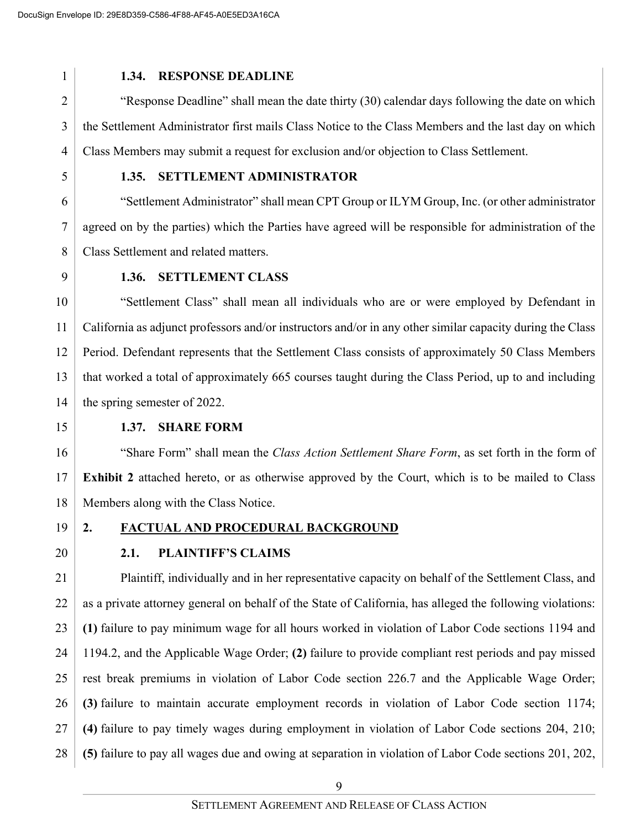1

#### **1.34. RESPONSE DEADLINE**

3 4 "Response Deadline" shall mean the date thirty (30) calendar days following the date on which the Settlement Administrator first mails Class Notice to the Class Members and the last day on which Class Members may submit a request for exclusion and/or objection to Class Settlement.

5

#### **1.35. SETTLEMENT ADMINISTRATOR**

6 7 8 "Settlement Administrator" shall mean CPT Group or ILYM Group, Inc. (or other administrator agreed on by the parties) which the Parties have agreed will be responsible for administration of the Class Settlement and related matters.

9

#### **1.36. SETTLEMENT CLASS**

10 11 12 13 14 "Settlement Class" shall mean all individuals who are or were employed by Defendant in California as adjunct professors and/or instructors and/or in any other similar capacity during the Class Period. Defendant represents that the Settlement Class consists of approximately 50 Class Members that worked a total of approximately 665 courses taught during the Class Period, up to and including the spring semester of 2022.

15

#### **1.37. SHARE FORM**

16 17 18 "Share Form" shall mean the *Class Action Settlement Share Form*, as set forth in the form of **Exhibit 2** attached hereto, or as otherwise approved by the Court, which is to be mailed to Class Members along with the Class Notice.

19

# **2. FACTUAL AND PROCEDURAL BACKGROUND**

20

### **2.1. PLAINTIFF'S CLAIMS**

21 22 23 24 25 26 27 28 Plaintiff, individually and in her representative capacity on behalf of the Settlement Class, and as a private attorney general on behalf of the State of California, has alleged the following violations: **(1)** failure to pay minimum wage for all hours worked in violation of Labor Code sections 1194 and 1194.2, and the Applicable Wage Order; **(2)** failure to provide compliant rest periods and pay missed rest break premiums in violation of Labor Code section 226.7 and the Applicable Wage Order; **(3)** failure to maintain accurate employment records in violation of Labor Code section 1174; **(4)** failure to pay timely wages during employment in violation of Labor Code sections 204, 210; **(5)** failure to pay all wages due and owing at separation in violation of Labor Code sections 201, 202,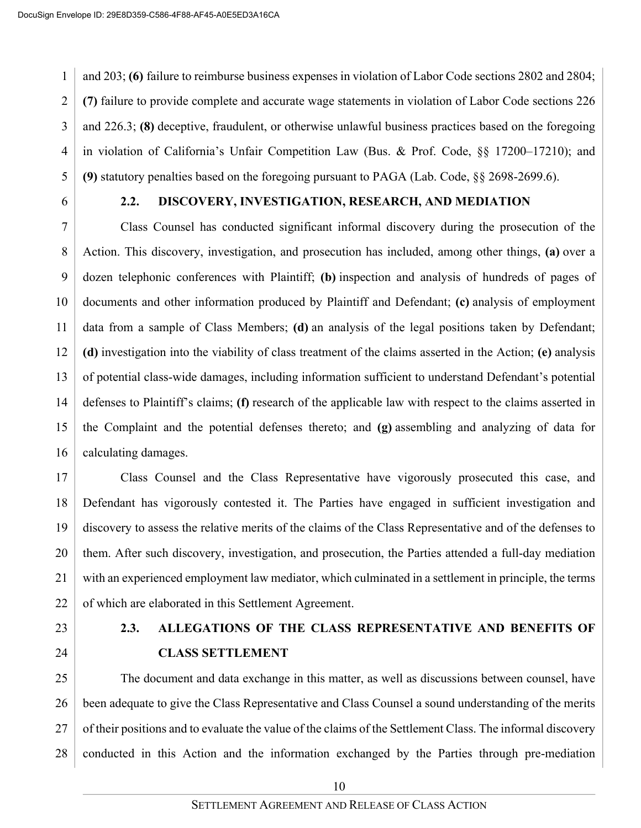1 2 3 4 5 and 203; **(6)** failure to reimburse business expenses in violation of Labor Code sections 2802 and 2804; **(7)** failure to provide complete and accurate wage statements in violation of Labor Code sections 226 and 226.3; **(8)** deceptive, fraudulent, or otherwise unlawful business practices based on the foregoing in violation of California's Unfair Competition Law (Bus. & Prof. Code, §§ 17200–17210); and **(9)** statutory penalties based on the foregoing pursuant to PAGA (Lab. Code, §§ 2698-2699.6).

6

### **2.2. DISCOVERY, INVESTIGATION, RESEARCH, AND MEDIATION**

7 8 9 10 11 12 13 14 15 16 Class Counsel has conducted significant informal discovery during the prosecution of the Action. This discovery, investigation, and prosecution has included, among other things, **(a)** over a dozen telephonic conferences with Plaintiff; **(b)** inspection and analysis of hundreds of pages of documents and other information produced by Plaintiff and Defendant; **(c)** analysis of employment data from a sample of Class Members; **(d)** an analysis of the legal positions taken by Defendant; **(d)** investigation into the viability of class treatment of the claims asserted in the Action; **(e)** analysis of potential class-wide damages, including information sufficient to understand Defendant's potential defenses to Plaintiff's claims; **(f)** research of the applicable law with respect to the claims asserted in the Complaint and the potential defenses thereto; and **(g)** assembling and analyzing of data for calculating damages.

17 18 19 20 21 22 Class Counsel and the Class Representative have vigorously prosecuted this case, and Defendant has vigorously contested it. The Parties have engaged in sufficient investigation and discovery to assess the relative merits of the claims of the Class Representative and of the defenses to them. After such discovery, investigation, and prosecution, the Parties attended a full-day mediation with an experienced employment law mediator, which culminated in a settlement in principle, the terms of which are elaborated in this Settlement Agreement.

- 23
- 24

# **2.3. ALLEGATIONS OF THE CLASS REPRESENTATIVE AND BENEFITS OF CLASS SETTLEMENT**

25 26 27 28 The document and data exchange in this matter, as well as discussions between counsel, have been adequate to give the Class Representative and Class Counsel a sound understanding of the merits of their positions and to evaluate the value of the claims of the Settlement Class. The informal discovery conducted in this Action and the information exchanged by the Parties through pre-mediation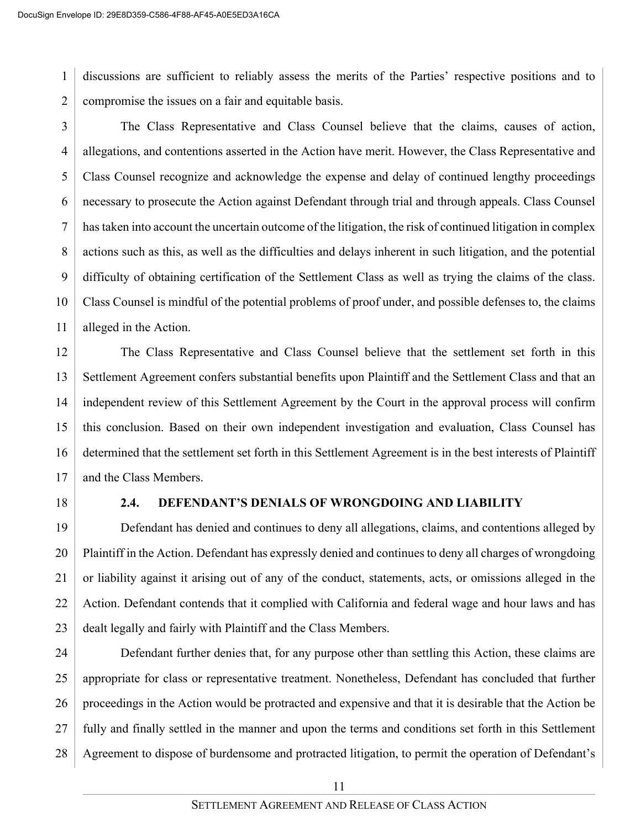1 2 discussions are sufficient to reliably assess the merits of the Parties' respective positions and to compromise the issues on a fair and equitable basis.

3 4 5 6 7 8 9 10 11 The Class Representative and Class Counsel believe that the claims, causes of action, allegations, and contentions asserted in the Action have merit. However, the Class Representative and Class Counsel recognize and acknowledge the expense and delay of continued lengthy proceedings necessary to prosecute the Action against Defendant through trial and through appeals. Class Counsel has taken into account the uncertain outcome of the litigation, the risk of continued litigation in complex actions such as this, as well as the difficulties and delays inherent in such litigation, and the potential difficulty of obtaining certification of the Settlement Class as well as trying the claims of the class. Class Counsel is mindful of the potential problems of proof under, and possible defenses to, the claims alleged in the Action.

12 13 14 15 16 17 The Class Representative and Class Counsel believe that the settlement set forth in this Settlement Agreement confers substantial benefits upon Plaintiff and the Settlement Class and that an independent review of this Settlement Agreement by the Court in the approval process will confirm this conclusion. Based on their own independent investigation and evaluation, Class Counsel has determined that the settlement set forth in this Settlement Agreement is in the best interests of Plaintiff and the Class Members.

18

### **2.4. DEFENDANT'S DENIALS OF WRONGDOING AND LIABILITY**

19 20 21 22 23 Defendant has denied and continues to deny all allegations, claims, and contentions alleged by Plaintiff in the Action. Defendant has expressly denied and continuesto deny all charges of wrongdoing or liability against it arising out of any of the conduct, statements, acts, or omissions alleged in the Action. Defendant contends that it complied with California and federal wage and hour laws and has dealt legally and fairly with Plaintiff and the Class Members.

24 25 26 27 28 Defendant further denies that, for any purpose other than settling this Action, these claims are appropriate for class or representative treatment. Nonetheless, Defendant has concluded that further proceedings in the Action would be protracted and expensive and that it is desirable that the Action be fully and finally settled in the manner and upon the terms and conditions set forth in this Settlement Agreement to dispose of burdensome and protracted litigation, to permit the operation of Defendant's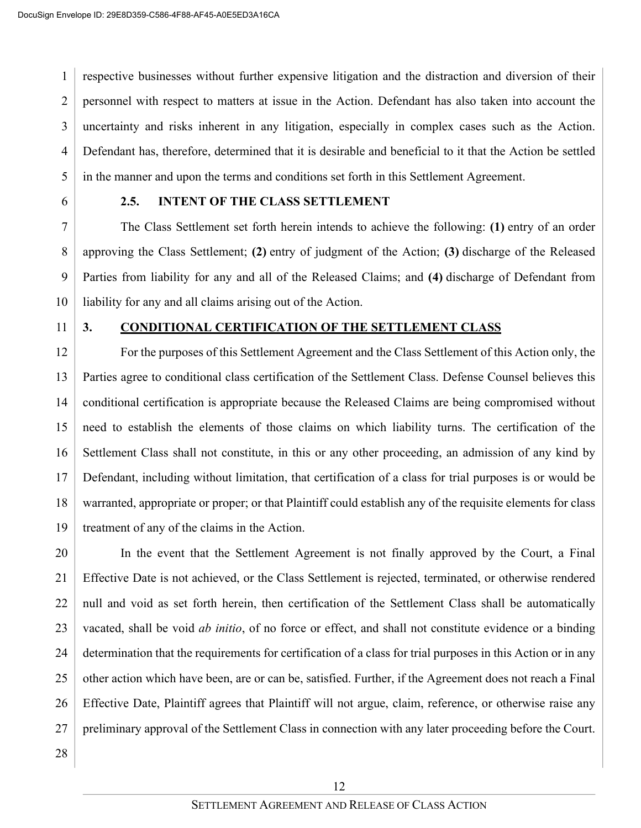1 2 3 4 5 respective businesses without further expensive litigation and the distraction and diversion of their personnel with respect to matters at issue in the Action. Defendant has also taken into account the uncertainty and risks inherent in any litigation, especially in complex cases such as the Action. Defendant has, therefore, determined that it is desirable and beneficial to it that the Action be settled in the manner and upon the terms and conditions set forth in this Settlement Agreement.

6

### **2.5. INTENT OF THE CLASS SETTLEMENT**

7 8 9 10 The Class Settlement set forth herein intends to achieve the following: **(1)** entry of an order approving the Class Settlement; **(2)** entry of judgment of the Action; **(3)** discharge of the Released Parties from liability for any and all of the Released Claims; and **(4)** discharge of Defendant from liability for any and all claims arising out of the Action.

11

### **3. CONDITIONAL CERTIFICATION OF THE SETTLEMENT CLASS**

12 13 14 15 16 17 18 19 For the purposes of this Settlement Agreement and the Class Settlement of this Action only, the Parties agree to conditional class certification of the Settlement Class. Defense Counsel believes this conditional certification is appropriate because the Released Claims are being compromised without need to establish the elements of those claims on which liability turns. The certification of the Settlement Class shall not constitute, in this or any other proceeding, an admission of any kind by Defendant, including without limitation, that certification of a class for trial purposes is or would be warranted, appropriate or proper; or that Plaintiff could establish any of the requisite elements for class treatment of any of the claims in the Action.

20 21 22 23 24 25 26 27 In the event that the Settlement Agreement is not finally approved by the Court, a Final Effective Date is not achieved, or the Class Settlement is rejected, terminated, or otherwise rendered null and void as set forth herein, then certification of the Settlement Class shall be automatically vacated, shall be void *ab initio*, of no force or effect, and shall not constitute evidence or a binding determination that the requirements for certification of a class for trial purposes in this Action or in any other action which have been, are or can be, satisfied. Further, if the Agreement does not reach a Final Effective Date, Plaintiff agrees that Plaintiff will not argue, claim, reference, or otherwise raise any preliminary approval of the Settlement Class in connection with any later proceeding before the Court.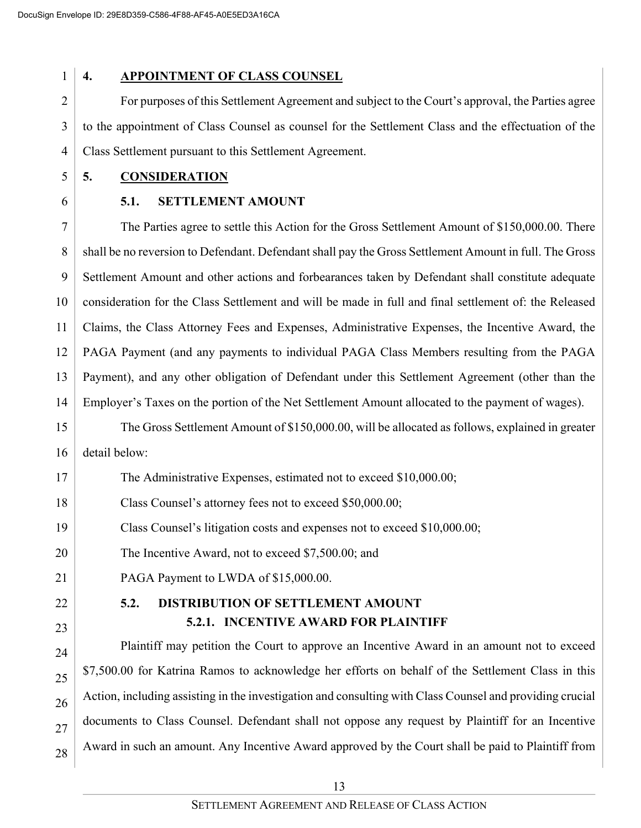### **4. APPOINTMENT OF CLASS COUNSEL**

2 3 4 For purposes of this Settlement Agreement and subject to the Court's approval, the Parties agree to the appointment of Class Counsel as counsel for the Settlement Class and the effectuation of the Class Settlement pursuant to this Settlement Agreement.

- 5 **5. CONSIDERATION**
- 6

### **5.1. SETTLEMENT AMOUNT**

7 8 9 10 11 12 13 14 The Parties agree to settle this Action for the Gross Settlement Amount of \$150,000.00. There shall be no reversion to Defendant. Defendant shall pay the Gross Settlement Amount in full. The Gross Settlement Amount and other actions and forbearances taken by Defendant shall constitute adequate consideration for the Class Settlement and will be made in full and final settlement of: the Released Claims, the Class Attorney Fees and Expenses, Administrative Expenses, the Incentive Award, the PAGA Payment (and any payments to individual PAGA Class Members resulting from the PAGA Payment), and any other obligation of Defendant under this Settlement Agreement (other than the Employer's Taxes on the portion of the Net Settlement Amount allocated to the payment of wages).

15 16 The Gross Settlement Amount of \$150,000.00, will be allocated as follows, explained in greater detail below:

17 The Administrative Expenses, estimated not to exceed \$10,000.00;

18 Class Counsel's attorney fees not to exceed \$50,000.00;

19 Class Counsel's litigation costs and expenses not to exceed \$10,000.00;

20 The Incentive Award, not to exceed \$7,500.00; and

- 21 PAGA Payment to LWDA of \$15,000.00.
- 22 23

### **5.2. DISTRIBUTION OF SETTLEMENT AMOUNT 5.2.1. INCENTIVE AWARD FOR PLAINTIFF**

24 25 26 27 28 Plaintiff may petition the Court to approve an Incentive Award in an amount not to exceed \$7,500.00 for Katrina Ramos to acknowledge her efforts on behalf of the Settlement Class in this Action, including assisting in the investigation and consulting with Class Counsel and providing crucial documents to Class Counsel. Defendant shall not oppose any request by Plaintiff for an Incentive Award in such an amount. Any Incentive Award approved by the Court shall be paid to Plaintiff from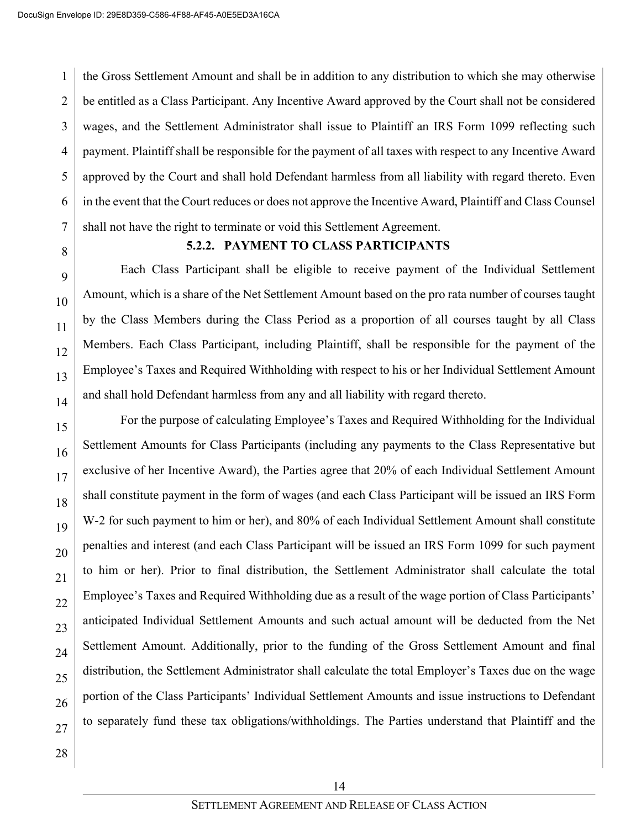1 2 3 4 5 6 7 the Gross Settlement Amount and shall be in addition to any distribution to which she may otherwise be entitled as a Class Participant. Any Incentive Award approved by the Court shall not be considered wages, and the Settlement Administrator shall issue to Plaintiff an IRS Form 1099 reflecting such payment. Plaintiff shall be responsible for the payment of all taxes with respect to any Incentive Award approved by the Court and shall hold Defendant harmless from all liability with regard thereto. Even in the event that the Court reduces or does not approve the Incentive Award, Plaintiff and Class Counsel shall not have the right to terminate or void this Settlement Agreement.

8 9

10

11

12

13

14

### **5.2.2. PAYMENT TO CLASS PARTICIPANTS**

Each Class Participant shall be eligible to receive payment of the Individual Settlement Amount, which is a share of the Net Settlement Amount based on the pro rata number of courses taught by the Class Members during the Class Period as a proportion of all courses taught by all Class Members. Each Class Participant, including Plaintiff, shall be responsible for the payment of the Employee's Taxes and Required Withholding with respect to his or her Individual Settlement Amount and shall hold Defendant harmless from any and all liability with regard thereto.

15 16 17 18 19 20 21 22 23 24 25 26 27 For the purpose of calculating Employee's Taxes and Required Withholding for the Individual Settlement Amounts for Class Participants (including any payments to the Class Representative but exclusive of her Incentive Award), the Parties agree that 20% of each Individual Settlement Amount shall constitute payment in the form of wages (and each Class Participant will be issued an IRS Form W-2 for such payment to him or her), and 80% of each Individual Settlement Amount shall constitute penalties and interest (and each Class Participant will be issued an IRS Form 1099 for such payment to him or her). Prior to final distribution, the Settlement Administrator shall calculate the total Employee's Taxes and Required Withholding due as a result of the wage portion of Class Participants' anticipated Individual Settlement Amounts and such actual amount will be deducted from the Net Settlement Amount. Additionally, prior to the funding of the Gross Settlement Amount and final distribution, the Settlement Administrator shall calculate the total Employer's Taxes due on the wage portion of the Class Participants' Individual Settlement Amounts and issue instructions to Defendant to separately fund these tax obligations/withholdings. The Parties understand that Plaintiff and the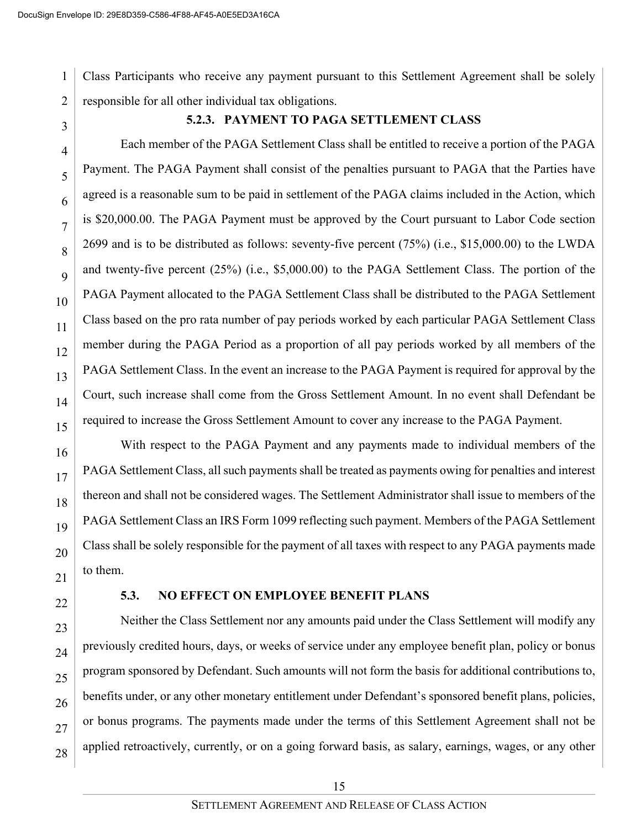1 2 Class Participants who receive any payment pursuant to this Settlement Agreement shall be solely responsible for all other individual tax obligations.

3

#### **5.2.3. PAYMENT TO PAGA SETTLEMENT CLASS**

4 5 6 7 8  $\overline{Q}$ 10 11 12 13 14 15 Each member of the PAGA Settlement Class shall be entitled to receive a portion of the PAGA Payment. The PAGA Payment shall consist of the penalties pursuant to PAGA that the Parties have agreed is a reasonable sum to be paid in settlement of the PAGA claims included in the Action, which is \$20,000.00. The PAGA Payment must be approved by the Court pursuant to Labor Code section 2699 and is to be distributed as follows: seventy-five percent (75%) (i.e., \$15,000.00) to the LWDA and twenty-five percent (25%) (i.e., \$5,000.00) to the PAGA Settlement Class. The portion of the PAGA Payment allocated to the PAGA Settlement Class shall be distributed to the PAGA Settlement Class based on the pro rata number of pay periods worked by each particular PAGA Settlement Class member during the PAGA Period as a proportion of all pay periods worked by all members of the PAGA Settlement Class. In the event an increase to the PAGA Payment is required for approval by the Court, such increase shall come from the Gross Settlement Amount. In no event shall Defendant be required to increase the Gross Settlement Amount to cover any increase to the PAGA Payment.

16 17 18 19 20 21 With respect to the PAGA Payment and any payments made to individual members of the PAGA Settlement Class, all such payments shall be treated as payments owing for penalties and interest thereon and shall not be considered wages. The Settlement Administrator shall issue to members of the PAGA Settlement Class an IRS Form 1099 reflecting such payment. Members of the PAGA Settlement Class shall be solely responsible for the payment of all taxes with respect to any PAGA payments made to them.

22

### **5.3. NO EFFECT ON EMPLOYEE BENEFIT PLANS**

23 24 25 26 27 28 Neither the Class Settlement nor any amounts paid under the Class Settlement will modify any previously credited hours, days, or weeks of service under any employee benefit plan, policy or bonus program sponsored by Defendant. Such amounts will not form the basis for additional contributions to, benefits under, or any other monetary entitlement under Defendant's sponsored benefit plans, policies, or bonus programs. The payments made under the terms of this Settlement Agreement shall not be applied retroactively, currently, or on a going forward basis, as salary, earnings, wages, or any other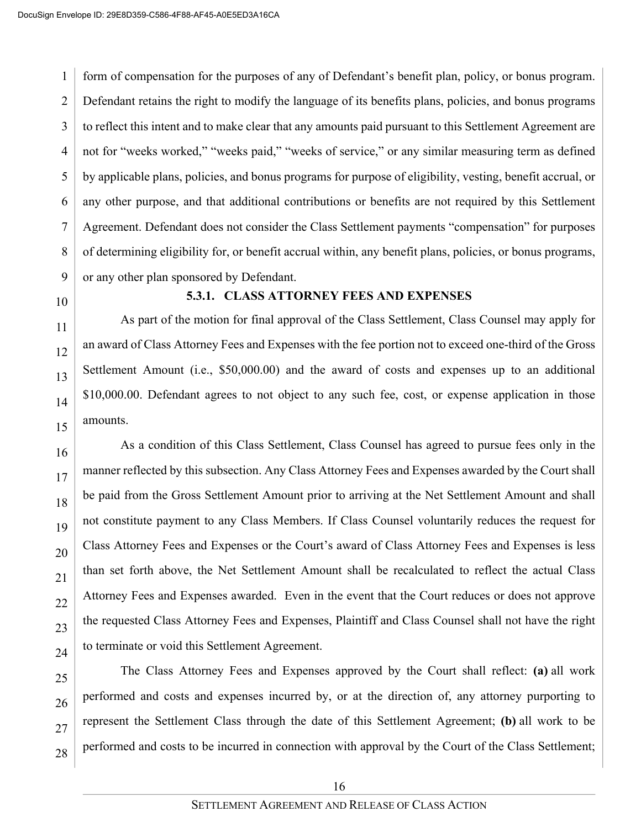1 2 3 4 5 6 7 8 9 form of compensation for the purposes of any of Defendant's benefit plan, policy, or bonus program. Defendant retains the right to modify the language of its benefits plans, policies, and bonus programs to reflect this intent and to make clear that any amounts paid pursuant to this Settlement Agreement are not for "weeks worked," "weeks paid," "weeks of service," or any similar measuring term as defined by applicable plans, policies, and bonus programs for purpose of eligibility, vesting, benefit accrual, or any other purpose, and that additional contributions or benefits are not required by this Settlement Agreement. Defendant does not consider the Class Settlement payments "compensation" for purposes of determining eligibility for, or benefit accrual within, any benefit plans, policies, or bonus programs, or any other plan sponsored by Defendant.

10

### **5.3.1. CLASS ATTORNEY FEES AND EXPENSES**

As part of the motion for final approval of the Class Settlement, Class Counsel may apply for an award of Class Attorney Fees and Expenses with the fee portion not to exceed one-third of the Gross Settlement Amount (i.e., \$50,000.00) and the award of costs and expenses up to an additional \$10,000.00. Defendant agrees to not object to any such fee, cost, or expense application in those amounts.

As a condition of this Class Settlement, Class Counsel has agreed to pursue fees only in the manner reflected by this subsection. Any Class Attorney Fees and Expenses awarded by the Court shall be paid from the Gross Settlement Amount prior to arriving at the Net Settlement Amount and shall not constitute payment to any Class Members. If Class Counsel voluntarily reduces the request for Class Attorney Fees and Expenses or the Court's award of Class Attorney Fees and Expenses is less than set forth above, the Net Settlement Amount shall be recalculated to reflect the actual Class Attorney Fees and Expenses awarded. Even in the event that the Court reduces or does not approve the requested Class Attorney Fees and Expenses, Plaintiff and Class Counsel shall not have the right to terminate or void this Settlement Agreement.

The Class Attorney Fees and Expenses approved by the Court shall reflect: **(a)** all work performed and costs and expenses incurred by, or at the direction of, any attorney purporting to represent the Settlement Class through the date of this Settlement Agreement; **(b)** all work to be performed and costs to be incurred in connection with approval by the Court of the Class Settlement;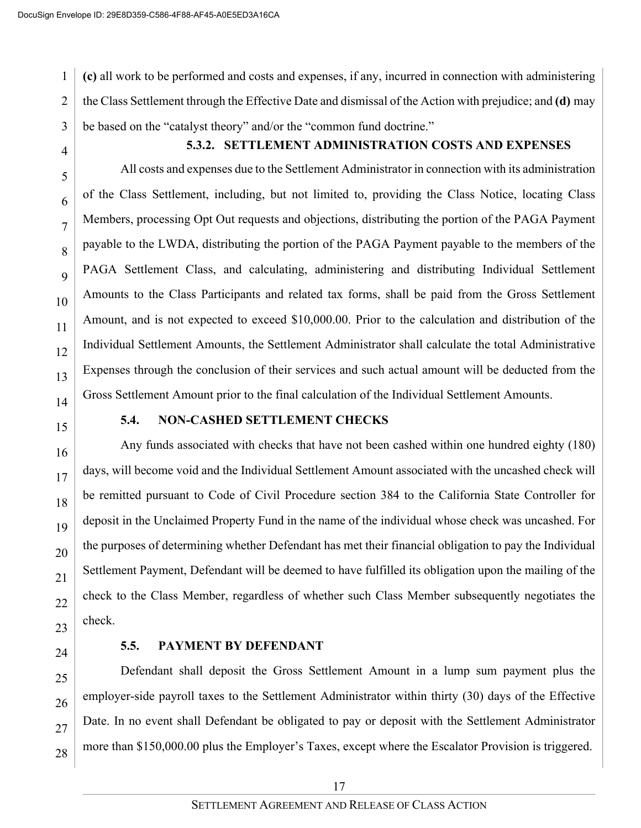1 2 3 **(c)** all work to be performed and costs and expenses, if any, incurred in connection with administering the Class Settlement through the Effective Date and dismissal of the Action with prejudice; and **(d)** may be based on the "catalyst theory" and/or the "common fund doctrine."

4

5

7

8

 $\overline{Q}$ 

11

### **5.3.2. SETTLEMENT ADMINISTRATION COSTS AND EXPENSES**

6 10 12 13 14 All costs and expenses due to the Settlement Administrator in connection with its administration of the Class Settlement, including, but not limited to, providing the Class Notice, locating Class Members, processing Opt Out requests and objections, distributing the portion of the PAGA Payment payable to the LWDA, distributing the portion of the PAGA Payment payable to the members of the PAGA Settlement Class, and calculating, administering and distributing Individual Settlement Amounts to the Class Participants and related tax forms, shall be paid from the Gross Settlement Amount, and is not expected to exceed \$10,000.00. Prior to the calculation and distribution of the Individual Settlement Amounts, the Settlement Administrator shall calculate the total Administrative Expenses through the conclusion of their services and such actual amount will be deducted from the Gross Settlement Amount prior to the final calculation of the Individual Settlement Amounts.

15 16 17

#### **5.4. NON-CASHED SETTLEMENT CHECKS**

18 19 20 21 22 23 Any funds associated with checks that have not been cashed within one hundred eighty (180) days, will become void and the Individual Settlement Amount associated with the uncashed check will be remitted pursuant to Code of Civil Procedure section 384 to the California State Controller for deposit in the Unclaimed Property Fund in the name of the individual whose check was uncashed. For the purposes of determining whether Defendant has met their financial obligation to pay the Individual Settlement Payment, Defendant will be deemed to have fulfilled its obligation upon the mailing of the check to the Class Member, regardless of whether such Class Member subsequently negotiates the check.

24

### **5.5. PAYMENT BY DEFENDANT**

25 26 27 28 Defendant shall deposit the Gross Settlement Amount in a lump sum payment plus the employer-side payroll taxes to the Settlement Administrator within thirty (30) days of the Effective Date. In no event shall Defendant be obligated to pay or deposit with the Settlement Administrator more than \$150,000.00 plus the Employer's Taxes, except where the Escalator Provision is triggered.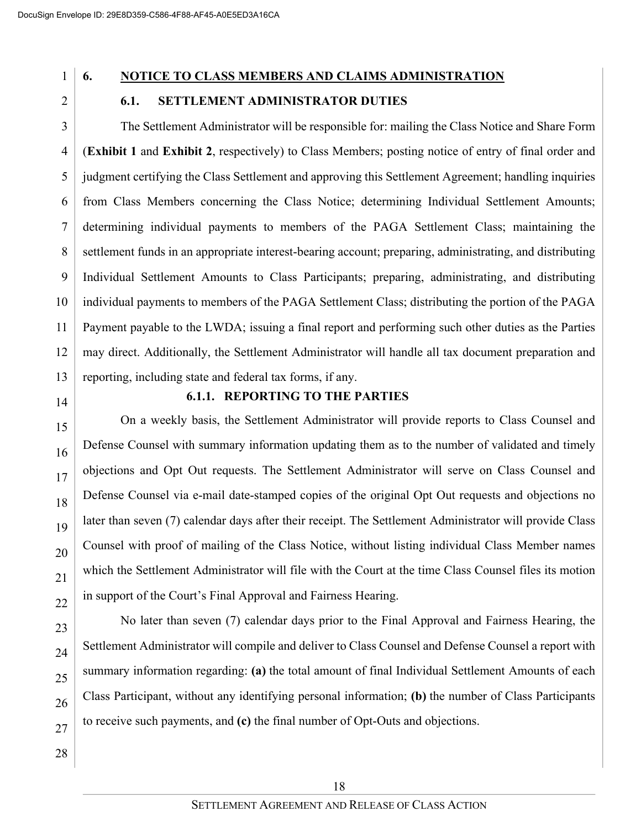### **6. NOTICE TO CLASS MEMBERS AND CLAIMS ADMINISTRATION**

### **6.1. SETTLEMENT ADMINISTRATOR DUTIES**

3 4 5 6 7 8 9 10 11 12 13 The Settlement Administrator will be responsible for: mailing the Class Notice and Share Form (**Exhibit 1** and **Exhibit 2**, respectively) to Class Members; posting notice of entry of final order and judgment certifying the Class Settlement and approving this Settlement Agreement; handling inquiries from Class Members concerning the Class Notice; determining Individual Settlement Amounts; determining individual payments to members of the PAGA Settlement Class; maintaining the settlement funds in an appropriate interest-bearing account; preparing, administrating, and distributing Individual Settlement Amounts to Class Participants; preparing, administrating, and distributing individual payments to members of the PAGA Settlement Class; distributing the portion of the PAGA Payment payable to the LWDA; issuing a final report and performing such other duties as the Parties may direct. Additionally, the Settlement Administrator will handle all tax document preparation and reporting, including state and federal tax forms, if any.

14

### **6.1.1. REPORTING TO THE PARTIES**

15 16 17 18 19 20 21 On a weekly basis, the Settlement Administrator will provide reports to Class Counsel and Defense Counsel with summary information updating them as to the number of validated and timely objections and Opt Out requests. The Settlement Administrator will serve on Class Counsel and Defense Counsel via e-mail date-stamped copies of the original Opt Out requests and objections no later than seven (7) calendar days after their receipt. The Settlement Administrator will provide Class Counsel with proof of mailing of the Class Notice, without listing individual Class Member names which the Settlement Administrator will file with the Court at the time Class Counsel files its motion in support of the Court's Final Approval and Fairness Hearing.

28

No later than seven (7) calendar days prior to the Final Approval and Fairness Hearing, the Settlement Administrator will compile and deliver to Class Counsel and Defense Counsel a report with summary information regarding: **(a)** the total amount of final Individual Settlement Amounts of each Class Participant, without any identifying personal information; **(b)** the number of Class Participants to receive such payments, and **(c)** the final number of Opt-Outs and objections.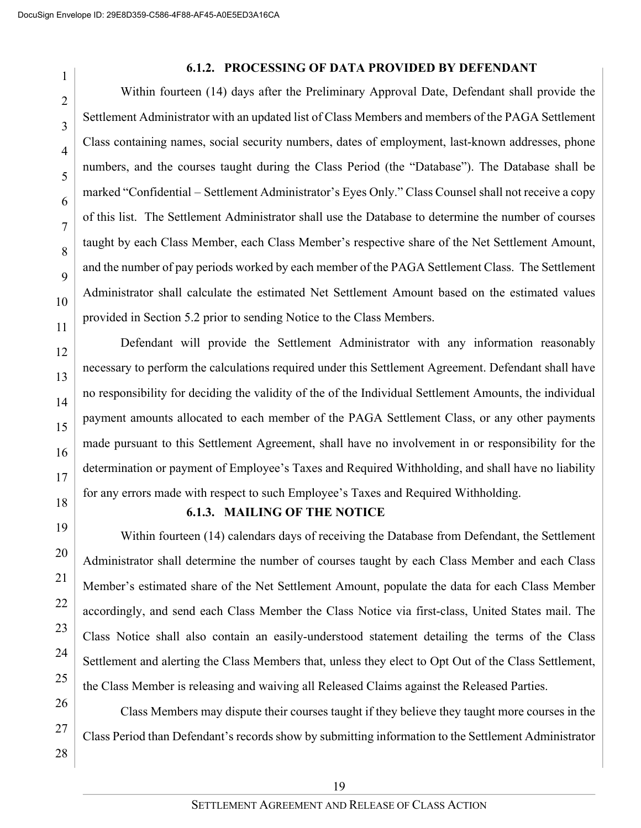#### **6.1.2. PROCESSING OF DATA PROVIDED BY DEFENDANT**

Within fourteen (14) days after the Preliminary Approval Date, Defendant shall provide the Settlement Administrator with an updated list of Class Members and members of the PAGA Settlement Class containing names, social security numbers, dates of employment, last-known addresses, phone numbers, and the courses taught during the Class Period (the "Database"). The Database shall be marked "Confidential – Settlement Administrator's Eyes Only." Class Counsel shall not receive a copy of this list. The Settlement Administrator shall use the Database to determine the number of courses taught by each Class Member, each Class Member's respective share of the Net Settlement Amount, and the number of pay periods worked by each member of the PAGA Settlement Class. The Settlement Administrator shall calculate the estimated Net Settlement Amount based on the estimated values provided in Section 5.2 prior to sending Notice to the Class Members.

Defendant will provide the Settlement Administrator with any information reasonably necessary to perform the calculations required under this Settlement Agreement. Defendant shall have no responsibility for deciding the validity of the of the Individual Settlement Amounts, the individual payment amounts allocated to each member of the PAGA Settlement Class, or any other payments made pursuant to this Settlement Agreement, shall have no involvement in or responsibility for the determination or payment of Employee's Taxes and Required Withholding, and shall have no liability for any errors made with respect to such Employee's Taxes and Required Withholding.

18 19

20

21

22

23

24

25

1

2

3

4

5

6

7

8

 $\overline{Q}$ 

10

11

12

13

14

15

16

17

#### **6.1.3. MAILING OF THE NOTICE**

Within fourteen (14) calendars days of receiving the Database from Defendant, the Settlement Administrator shall determine the number of courses taught by each Class Member and each Class Member's estimated share of the Net Settlement Amount, populate the data for each Class Member accordingly, and send each Class Member the Class Notice via first-class, United States mail. The Class Notice shall also contain an easily-understood statement detailing the terms of the Class Settlement and alerting the Class Members that, unless they elect to Opt Out of the Class Settlement, the Class Member is releasing and waiving all Released Claims against the Released Parties.

26 27 28 Class Members may dispute their courses taught if they believe they taught more courses in the Class Period than Defendant's records show by submitting information to the Settlement Administrator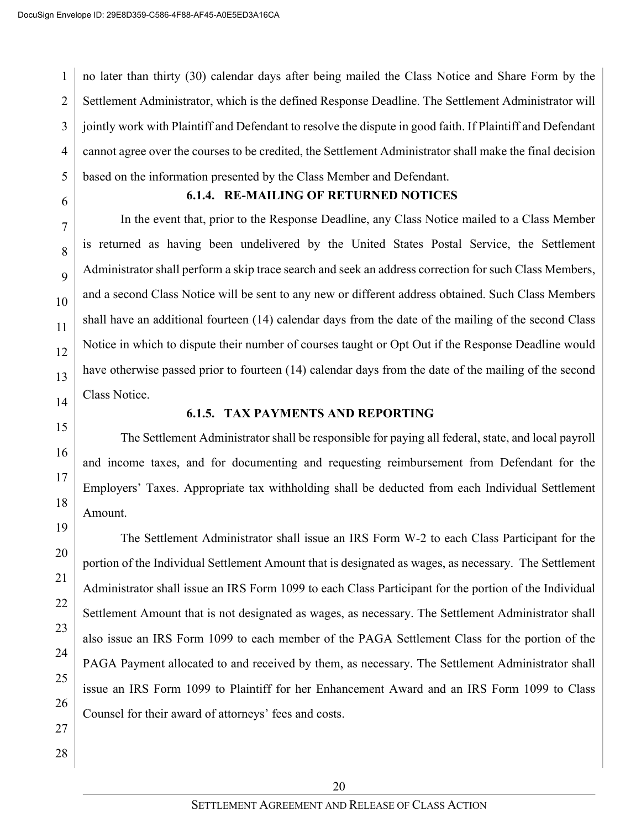1 2 3 4 5 no later than thirty (30) calendar days after being mailed the Class Notice and Share Form by the Settlement Administrator, which is the defined Response Deadline. The Settlement Administrator will jointly work with Plaintiff and Defendant to resolve the dispute in good faith. If Plaintiff and Defendant cannot agree over the courses to be credited, the Settlement Administrator shall make the final decision based on the information presented by the Class Member and Defendant.

6

7

8

 $\overline{Q}$ 

10

11

12

13

### **6.1.4. RE-MAILING OF RETURNED NOTICES**

In the event that, prior to the Response Deadline, any Class Notice mailed to a Class Member is returned as having been undelivered by the United States Postal Service, the Settlement Administrator shall perform a skip trace search and seek an address correction for such Class Members, and a second Class Notice will be sent to any new or different address obtained. Such Class Members shall have an additional fourteen (14) calendar days from the date of the mailing of the second Class Notice in which to dispute their number of courses taught or Opt Out if the Response Deadline would have otherwise passed prior to fourteen (14) calendar days from the date of the mailing of the second Class Notice.

14 15

16

17

18

19

20

21

22

23

24

25

26

### **6.1.5. TAX PAYMENTS AND REPORTING**

The Settlement Administrator shall be responsible for paying all federal, state, and local payroll and income taxes, and for documenting and requesting reimbursement from Defendant for the Employers' Taxes. Appropriate tax withholding shall be deducted from each Individual Settlement Amount.

The Settlement Administrator shall issue an IRS Form W-2 to each Class Participant for the portion of the Individual Settlement Amount that is designated as wages, as necessary. The Settlement Administrator shall issue an IRS Form 1099 to each Class Participant for the portion of the Individual Settlement Amount that is not designated as wages, as necessary. The Settlement Administrator shall also issue an IRS Form 1099 to each member of the PAGA Settlement Class for the portion of the PAGA Payment allocated to and received by them, as necessary. The Settlement Administrator shall issue an IRS Form 1099 to Plaintiff for her Enhancement Award and an IRS Form 1099 to Class Counsel for their award of attorneys' fees and costs.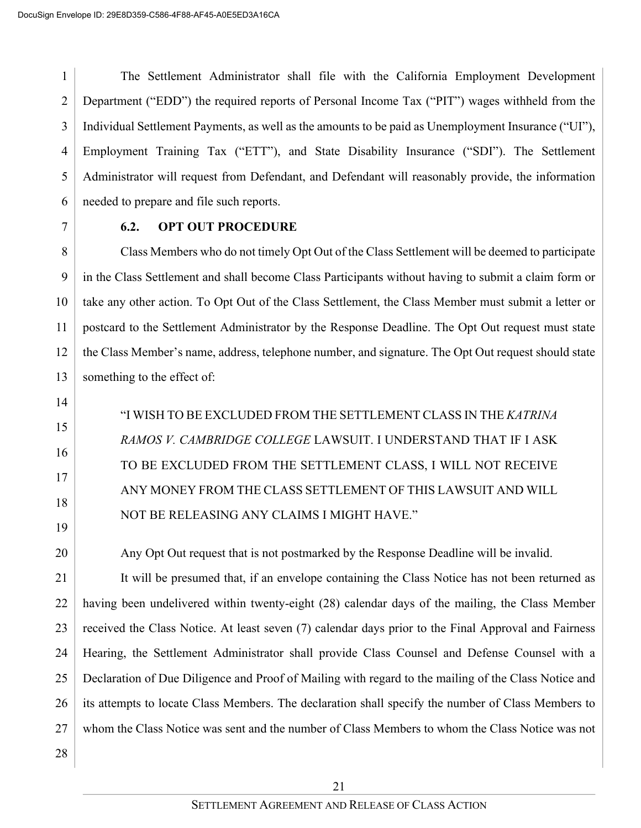1 2 3 4 5 6 The Settlement Administrator shall file with the California Employment Development Department ("EDD") the required reports of Personal Income Tax ("PIT") wages withheld from the Individual Settlement Payments, as well as the amounts to be paid as Unemployment Insurance ("UI"), Employment Training Tax ("ETT"), and State Disability Insurance ("SDI"). The Settlement Administrator will request from Defendant, and Defendant will reasonably provide, the information needed to prepare and file such reports.

7

### **6.2. OPT OUT PROCEDURE**

8 9 10 11 12 13 Class Members who do not timely Opt Out of the Class Settlement will be deemed to participate in the Class Settlement and shall become Class Participants without having to submit a claim form or take any other action. To Opt Out of the Class Settlement, the Class Member must submit a letter or postcard to the Settlement Administrator by the Response Deadline. The Opt Out request must state the Class Member's name, address, telephone number, and signature. The Opt Out request should state something to the effect of:

14

# 15

16

- 17
- 18
- 

TO BE EXCLUDED FROM THE SETTLEMENT CLASS, I WILL NOT RECEIVE ANY MONEY FROM THE CLASS SETTLEMENT OF THIS LAWSUIT AND WILL NOT BE RELEASING ANY CLAIMS I MIGHT HAVE."

"I WISH TO BE EXCLUDED FROM THE SETTLEMENT CLASS IN THE *KATRINA* 

*RAMOS V. CAMBRIDGE COLLEGE* LAWSUIT. I UNDERSTAND THAT IF I ASK

19 20

Any Opt Out request that is not postmarked by the Response Deadline will be invalid.

21 22 23 24 25 26 27 It will be presumed that, if an envelope containing the Class Notice has not been returned as having been undelivered within twenty-eight (28) calendar days of the mailing, the Class Member received the Class Notice. At least seven (7) calendar days prior to the Final Approval and Fairness Hearing, the Settlement Administrator shall provide Class Counsel and Defense Counsel with a Declaration of Due Diligence and Proof of Mailing with regard to the mailing of the Class Notice and its attempts to locate Class Members. The declaration shall specify the number of Class Members to whom the Class Notice was sent and the number of Class Members to whom the Class Notice was not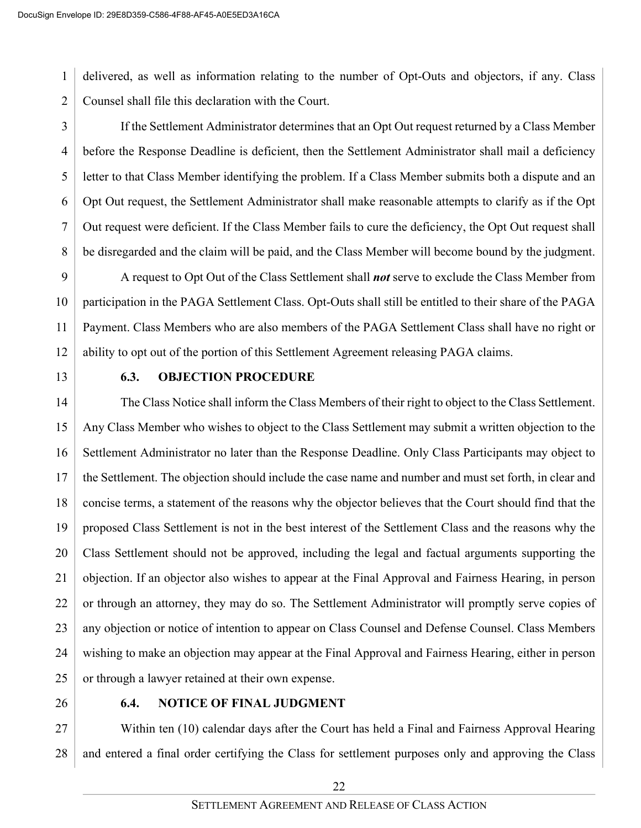1 2 delivered, as well as information relating to the number of Opt-Outs and objectors, if any. Class Counsel shall file this declaration with the Court.

3 4 5 6 7 8 If the Settlement Administrator determines that an Opt Out request returned by a Class Member before the Response Deadline is deficient, then the Settlement Administrator shall mail a deficiency letter to that Class Member identifying the problem. If a Class Member submits both a dispute and an Opt Out request, the Settlement Administrator shall make reasonable attempts to clarify as if the Opt Out request were deficient. If the Class Member fails to cure the deficiency, the Opt Out request shall be disregarded and the claim will be paid, and the Class Member will become bound by the judgment.

9 10 11 12 A request to Opt Out of the Class Settlement shall *not* serve to exclude the Class Member from participation in the PAGA Settlement Class. Opt-Outs shall still be entitled to their share of the PAGA Payment. Class Members who are also members of the PAGA Settlement Class shall have no right or ability to opt out of the portion of this Settlement Agreement releasing PAGA claims.

13

#### **6.3. OBJECTION PROCEDURE**

14 15 16 17 18 19 20 21 22 23 24 25 The Class Notice shall inform the Class Members of their right to object to the Class Settlement. Any Class Member who wishes to object to the Class Settlement may submit a written objection to the Settlement Administrator no later than the Response Deadline. Only Class Participants may object to the Settlement. The objection should include the case name and number and must set forth, in clear and concise terms, a statement of the reasons why the objector believes that the Court should find that the proposed Class Settlement is not in the best interest of the Settlement Class and the reasons why the Class Settlement should not be approved, including the legal and factual arguments supporting the objection. If an objector also wishes to appear at the Final Approval and Fairness Hearing, in person or through an attorney, they may do so. The Settlement Administrator will promptly serve copies of any objection or notice of intention to appear on Class Counsel and Defense Counsel. Class Members wishing to make an objection may appear at the Final Approval and Fairness Hearing, either in person or through a lawyer retained at their own expense.

26

#### **6.4. NOTICE OF FINAL JUDGMENT**

27 28 Within ten (10) calendar days after the Court has held a Final and Fairness Approval Hearing and entered a final order certifying the Class for settlement purposes only and approving the Class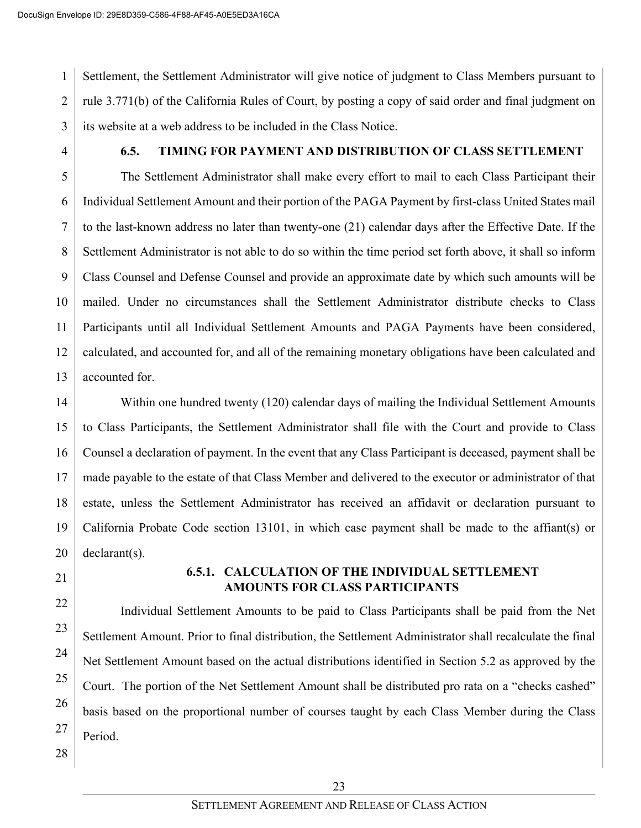1 2 3 Settlement, the Settlement Administrator will give notice of judgment to Class Members pursuant to rule 3.771(b) of the California Rules of Court, by posting a copy of said order and final judgment on its website at a web address to be included in the Class Notice.

4

### **6.5. TIMING FOR PAYMENT AND DISTRIBUTION OF CLASS SETTLEMENT**

5 6 7 8 9 10 11 12 13 The Settlement Administrator shall make every effort to mail to each Class Participant their Individual Settlement Amount and their portion of the PAGA Payment by first-class United States mail to the last-known address no later than twenty-one (21) calendar days after the Effective Date. If the Settlement Administrator is not able to do so within the time period set forth above, it shall so inform Class Counsel and Defense Counsel and provide an approximate date by which such amounts will be mailed. Under no circumstances shall the Settlement Administrator distribute checks to Class Participants until all Individual Settlement Amounts and PAGA Payments have been considered, calculated, and accounted for, and all of the remaining monetary obligations have been calculated and accounted for.

14 15 16 17 18 19 20 Within one hundred twenty (120) calendar days of mailing the Individual Settlement Amounts to Class Participants, the Settlement Administrator shall file with the Court and provide to Class Counsel a declaration of payment. In the event that any Class Participant is deceased, payment shall be made payable to the estate of that Class Member and delivered to the executor or administrator of that estate, unless the Settlement Administrator has received an affidavit or declaration pursuant to California Probate Code section 13101, in which case payment shall be made to the affiant(s) or declarant(s).

21

22

23

24

25

26

27

28

### **6.5.1. CALCULATION OF THE INDIVIDUAL SETTLEMENT AMOUNTS FOR CLASS PARTICIPANTS**

Individual Settlement Amounts to be paid to Class Participants shall be paid from the Net Settlement Amount. Prior to final distribution, the Settlement Administrator shall recalculate the final Net Settlement Amount based on the actual distributions identified in Section 5.2 as approved by the Court. The portion of the Net Settlement Amount shall be distributed pro rata on a "checks cashed" basis based on the proportional number of courses taught by each Class Member during the Class Period.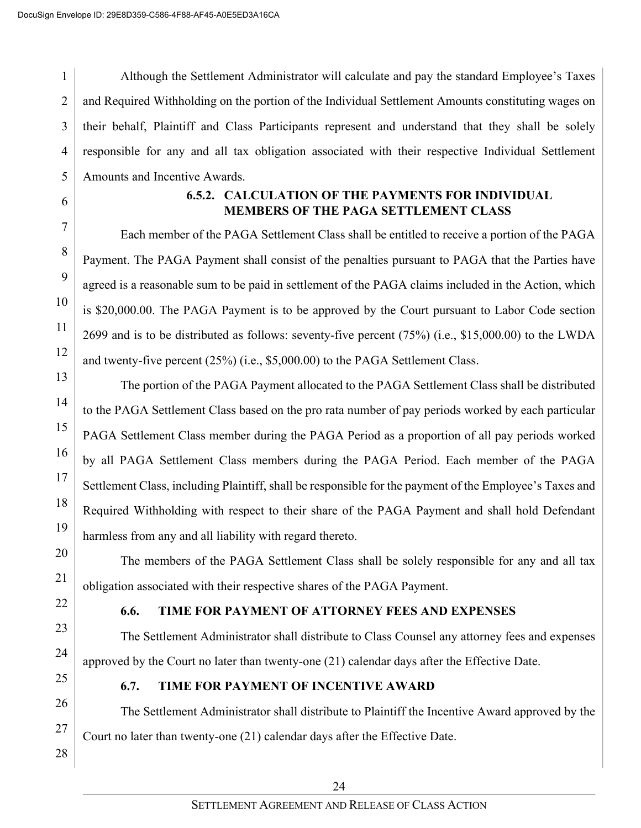1 2 3 4 5 Although the Settlement Administrator will calculate and pay the standard Employee's Taxes and Required Withholding on the portion of the Individual Settlement Amounts constituting wages on their behalf, Plaintiff and Class Participants represent and understand that they shall be solely responsible for any and all tax obligation associated with their respective Individual Settlement Amounts and Incentive Awards.

6

7

8

9

10

11

12

13

14

15

16

17

18

19

20

21

22

23

24

26

27

28

### **6.5.2. CALCULATION OF THE PAYMENTS FOR INDIVIDUAL MEMBERS OF THE PAGA SETTLEMENT CLASS**

Each member of the PAGA Settlement Class shall be entitled to receive a portion of the PAGA Payment. The PAGA Payment shall consist of the penalties pursuant to PAGA that the Parties have agreed is a reasonable sum to be paid in settlement of the PAGA claims included in the Action, which is \$20,000.00. The PAGA Payment is to be approved by the Court pursuant to Labor Code section 2699 and is to be distributed as follows: seventy-five percent (75%) (i.e., \$15,000.00) to the LWDA and twenty-five percent (25%) (i.e., \$5,000.00) to the PAGA Settlement Class.

The portion of the PAGA Payment allocated to the PAGA Settlement Class shall be distributed to the PAGA Settlement Class based on the pro rata number of pay periods worked by each particular PAGA Settlement Class member during the PAGA Period as a proportion of all pay periods worked by all PAGA Settlement Class members during the PAGA Period. Each member of the PAGA Settlement Class, including Plaintiff, shall be responsible for the payment of the Employee's Taxes and Required Withholding with respect to their share of the PAGA Payment and shall hold Defendant harmless from any and all liability with regard thereto.

The members of the PAGA Settlement Class shall be solely responsible for any and all tax obligation associated with their respective shares of the PAGA Payment.

### **6.6. TIME FOR PAYMENT OF ATTORNEY FEES AND EXPENSES**

The Settlement Administrator shall distribute to Class Counsel any attorney fees and expenses approved by the Court no later than twenty-one (21) calendar days after the Effective Date.

25

### **6.7. TIME FOR PAYMENT OF INCENTIVE AWARD**

The Settlement Administrator shall distribute to Plaintiff the Incentive Award approved by the Court no later than twenty-one (21) calendar days after the Effective Date.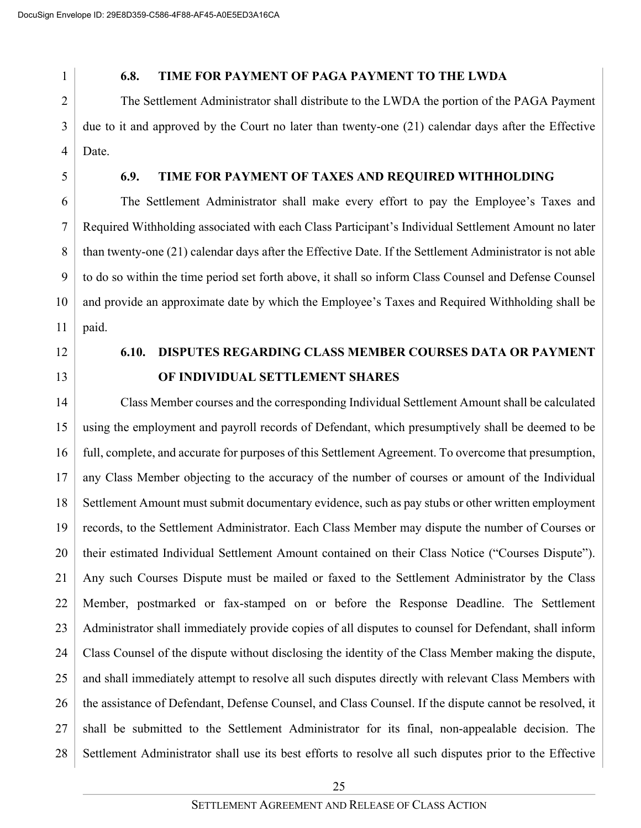#### **6.8. TIME FOR PAYMENT OF PAGA PAYMENT TO THE LWDA**

3 4 The Settlement Administrator shall distribute to the LWDA the portion of the PAGA Payment due to it and approved by the Court no later than twenty-one (21) calendar days after the Effective Date.

5

### **6.9. TIME FOR PAYMENT OF TAXES AND REQUIRED WITHHOLDING**

6 7 8 9 10 11 The Settlement Administrator shall make every effort to pay the Employee's Taxes and Required Withholding associated with each Class Participant's Individual Settlement Amount no later than twenty-one (21) calendar days after the Effective Date. If the Settlement Administrator is not able to do so within the time period set forth above, it shall so inform Class Counsel and Defense Counsel and provide an approximate date by which the Employee's Taxes and Required Withholding shall be paid.

12

13

# **6.10. DISPUTES REGARDING CLASS MEMBER COURSES DATA OR PAYMENT OF INDIVIDUAL SETTLEMENT SHARES**

14 15 16 17 18 19 20 21 22 23 24 25 26 27 28 Class Member courses and the corresponding Individual Settlement Amount shall be calculated using the employment and payroll records of Defendant, which presumptively shall be deemed to be full, complete, and accurate for purposes of this Settlement Agreement. To overcome that presumption, any Class Member objecting to the accuracy of the number of courses or amount of the Individual Settlement Amount must submit documentary evidence, such as pay stubs or other written employment records, to the Settlement Administrator. Each Class Member may dispute the number of Courses or their estimated Individual Settlement Amount contained on their Class Notice ("Courses Dispute"). Any such Courses Dispute must be mailed or faxed to the Settlement Administrator by the Class Member, postmarked or fax-stamped on or before the Response Deadline. The Settlement Administrator shall immediately provide copies of all disputes to counsel for Defendant, shall inform Class Counsel of the dispute without disclosing the identity of the Class Member making the dispute, and shall immediately attempt to resolve all such disputes directly with relevant Class Members with the assistance of Defendant, Defense Counsel, and Class Counsel. If the dispute cannot be resolved, it shall be submitted to the Settlement Administrator for its final, non-appealable decision. The Settlement Administrator shall use its best efforts to resolve all such disputes prior to the Effective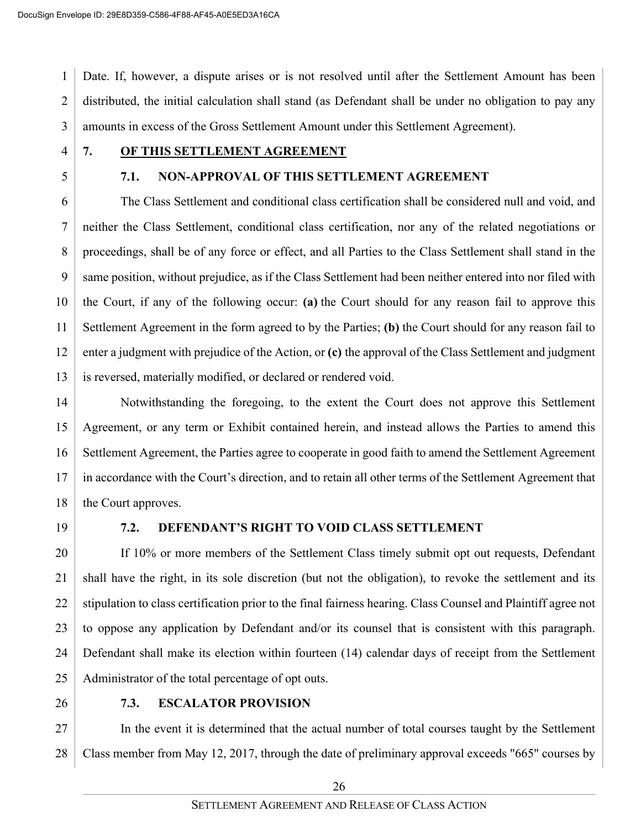1 2 3 Date. If, however, a dispute arises or is not resolved until after the Settlement Amount has been distributed, the initial calculation shall stand (as Defendant shall be under no obligation to pay any amounts in excess of the Gross Settlement Amount under this Settlement Agreement).

- 4
- 5

# **7. OF THIS SETTLEMENT AGREEMENT**

### **7.1. NON-APPROVAL OF THIS SETTLEMENT AGREEMENT**

6 7 8 9 10 11 12 13 The Class Settlement and conditional class certification shall be considered null and void, and neither the Class Settlement, conditional class certification, nor any of the related negotiations or proceedings, shall be of any force or effect, and all Parties to the Class Settlement shall stand in the same position, without prejudice, as if the Class Settlement had been neither entered into nor filed with the Court, if any of the following occur: **(a)** the Court should for any reason fail to approve this Settlement Agreement in the form agreed to by the Parties; **(b)** the Court should for any reason fail to enter a judgment with prejudice of the Action, or **(c)** the approval of the Class Settlement and judgment is reversed, materially modified, or declared or rendered void.

14 15 16 17 18 Notwithstanding the foregoing, to the extent the Court does not approve this Settlement Agreement, or any term or Exhibit contained herein, and instead allows the Parties to amend this Settlement Agreement, the Parties agree to cooperate in good faith to amend the Settlement Agreement in accordance with the Court's direction, and to retain all other terms of the Settlement Agreement that the Court approves.

19

### **7.2. DEFENDANT'S RIGHT TO VOID CLASS SETTLEMENT**

20 21 22 23 24 25 If 10% or more members of the Settlement Class timely submit opt out requests, Defendant shall have the right, in its sole discretion (but not the obligation), to revoke the settlement and its stipulation to class certification prior to the final fairness hearing. Class Counsel and Plaintiff agree not to oppose any application by Defendant and/or its counsel that is consistent with this paragraph. Defendant shall make its election within fourteen (14) calendar days of receipt from the Settlement Administrator of the total percentage of opt outs.

26

### **7.3. ESCALATOR PROVISION**

27 28 In the event it is determined that the actual number of total courses taught by the Settlement Class member from May 12, 2017, through the date of preliminary approval exceeds "665" courses by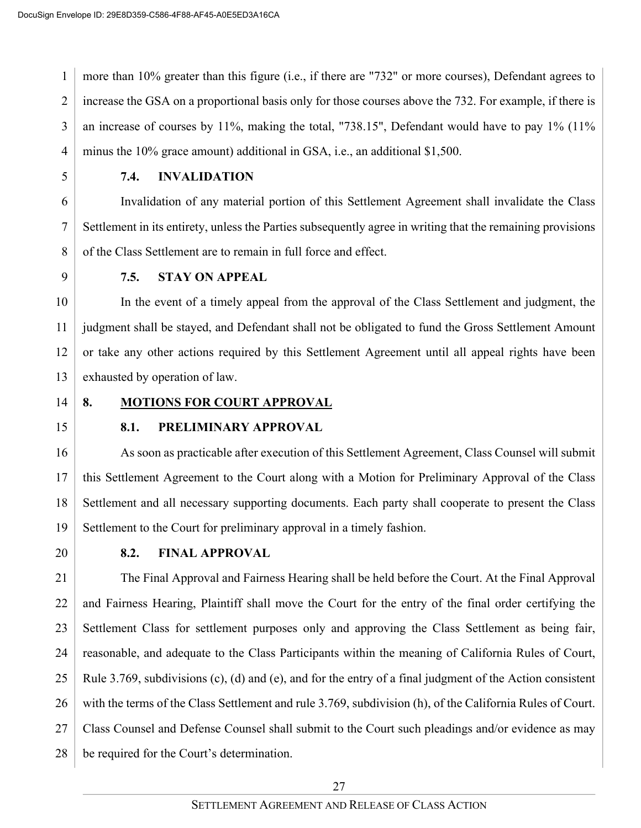1 2 3 4 more than 10% greater than this figure (i.e., if there are "732" or more courses), Defendant agrees to increase the GSA on a proportional basis only for those courses above the 732. For example, if there is an increase of courses by 11%, making the total, "738.15", Defendant would have to pay 1% (11% minus the 10% grace amount) additional in GSA, i.e., an additional \$1,500.

5

### **7.4. INVALIDATION**

6 7 8 Invalidation of any material portion of this Settlement Agreement shall invalidate the Class Settlement in its entirety, unless the Parties subsequently agree in writing that the remaining provisions of the Class Settlement are to remain in full force and effect.

9

### **7.5. STAY ON APPEAL**

10 11 12 13 In the event of a timely appeal from the approval of the Class Settlement and judgment, the judgment shall be stayed, and Defendant shall not be obligated to fund the Gross Settlement Amount or take any other actions required by this Settlement Agreement until all appeal rights have been exhausted by operation of law.

14

### **8. MOTIONS FOR COURT APPROVAL**

15

### **8.1. PRELIMINARY APPROVAL**

16 17 18 19 As soon as practicable after execution of this Settlement Agreement, Class Counsel will submit this Settlement Agreement to the Court along with a Motion for Preliminary Approval of the Class Settlement and all necessary supporting documents. Each party shall cooperate to present the Class Settlement to the Court for preliminary approval in a timely fashion.

20

### **8.2. FINAL APPROVAL**

21 22 23 24 25 26 27 28 The Final Approval and Fairness Hearing shall be held before the Court. At the Final Approval and Fairness Hearing, Plaintiff shall move the Court for the entry of the final order certifying the Settlement Class for settlement purposes only and approving the Class Settlement as being fair, reasonable, and adequate to the Class Participants within the meaning of California Rules of Court, Rule 3.769, subdivisions (c), (d) and (e), and for the entry of a final judgment of the Action consistent with the terms of the Class Settlement and rule 3.769, subdivision (h), of the California Rules of Court. Class Counsel and Defense Counsel shall submit to the Court such pleadings and/or evidence as may be required for the Court's determination.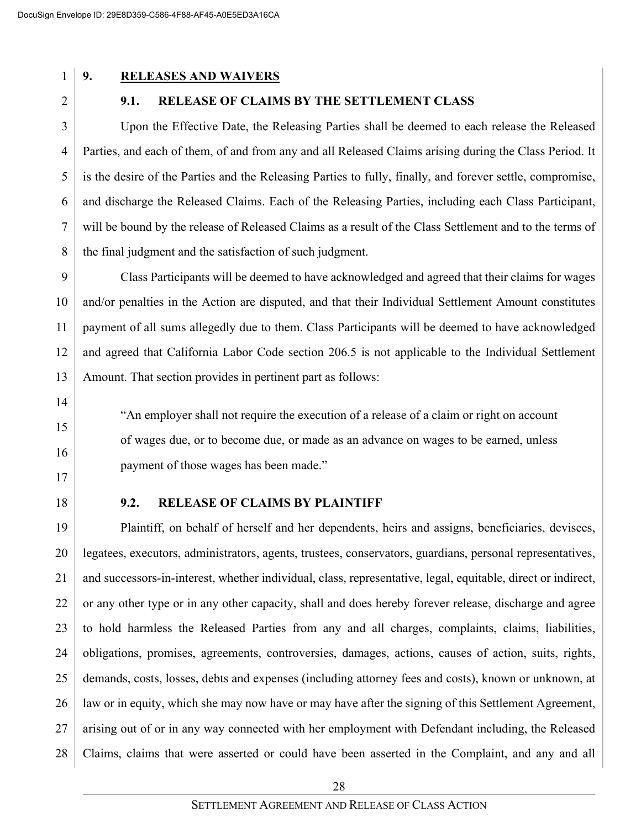#### **9. RELEASES AND WAIVERS**

2

#### **9.1. RELEASE OF CLAIMS BY THE SETTLEMENT CLASS**

3 4 5 6 7 8 Upon the Effective Date, the Releasing Parties shall be deemed to each release the Released Parties, and each of them, of and from any and all Released Claims arising during the Class Period. It is the desire of the Parties and the Releasing Parties to fully, finally, and forever settle, compromise, and discharge the Released Claims. Each of the Releasing Parties, including each Class Participant, will be bound by the release of Released Claims as a result of the Class Settlement and to the terms of the final judgment and the satisfaction of such judgment.

9 10 11 12 13 Class Participants will be deemed to have acknowledged and agreed that their claims for wages and/or penalties in the Action are disputed, and that their Individual Settlement Amount constitutes payment of all sums allegedly due to them. Class Participants will be deemed to have acknowledged and agreed that California Labor Code section 206.5 is not applicable to the Individual Settlement Amount. That section provides in pertinent part as follows:

"An employer shall not require the execution of a release of a claim or right on account

of wages due, or to become due, or made as an advance on wages to be earned, unless

- 14
- 15
- 16
- 17 18

#### **9.2. RELEASE OF CLAIMS BY PLAINTIFF**

payment of those wages has been made."

19 20 21 22 23 24 25 26 27 28 Plaintiff, on behalf of herself and her dependents, heirs and assigns, beneficiaries, devisees, legatees, executors, administrators, agents, trustees, conservators, guardians, personal representatives, and successors-in-interest, whether individual, class, representative, legal, equitable, direct or indirect, or any other type or in any other capacity, shall and does hereby forever release, discharge and agree to hold harmless the Released Parties from any and all charges, complaints, claims, liabilities, obligations, promises, agreements, controversies, damages, actions, causes of action, suits, rights, demands, costs, losses, debts and expenses (including attorney fees and costs), known or unknown, at law or in equity, which she may now have or may have after the signing of this Settlement Agreement, arising out of or in any way connected with her employment with Defendant including, the Released Claims, claims that were asserted or could have been asserted in the Complaint, and any and all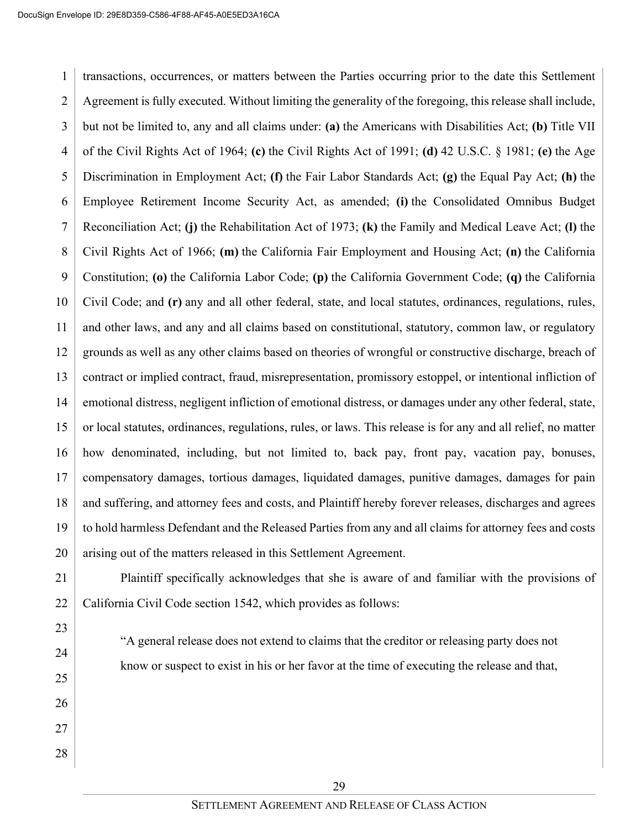24

25

26

27

28

1 2 3 4 5 6 7 8 9 10 11 12 13 14 15 16 17 18 19 20 transactions, occurrences, or matters between the Parties occurring prior to the date this Settlement Agreement is fully executed. Without limiting the generality of the foregoing, this release shall include, but not be limited to, any and all claims under: **(a)** the Americans with Disabilities Act; **(b)** Title VII of the Civil Rights Act of 1964; **(c)** the Civil Rights Act of 1991; **(d)** 42 U.S.C. § 1981; **(e)** the Age Discrimination in Employment Act; **(f)** the Fair Labor Standards Act; **(g)** the Equal Pay Act; **(h)** the Employee Retirement Income Security Act, as amended; **(i)** the Consolidated Omnibus Budget Reconciliation Act; **(j)** the Rehabilitation Act of 1973; **(k)** the Family and Medical Leave Act; **(l)** the Civil Rights Act of 1966; **(m)** the California Fair Employment and Housing Act; **(n)** the California Constitution; **(o)** the California Labor Code; **(p)** the California Government Code; **(q)** the California Civil Code; and **(r)** any and all other federal, state, and local statutes, ordinances, regulations, rules, and other laws, and any and all claims based on constitutional, statutory, common law, or regulatory grounds as well as any other claims based on theories of wrongful or constructive discharge, breach of contract or implied contract, fraud, misrepresentation, promissory estoppel, or intentional infliction of emotional distress, negligent infliction of emotional distress, or damages under any other federal, state, or local statutes, ordinances, regulations, rules, or laws. This release is for any and all relief, no matter how denominated, including, but not limited to, back pay, front pay, vacation pay, bonuses, compensatory damages, tortious damages, liquidated damages, punitive damages, damages for pain and suffering, and attorney fees and costs, and Plaintiff hereby forever releases, discharges and agrees to hold harmless Defendant and the Released Parties from any and all claims for attorney fees and costs arising out of the matters released in this Settlement Agreement.

21 22 Plaintiff specifically acknowledges that she is aware of and familiar with the provisions of California Civil Code section 1542, which provides as follows:

> "A general release does not extend to claims that the creditor or releasing party does not know or suspect to exist in his or her favor at the time of executing the release and that,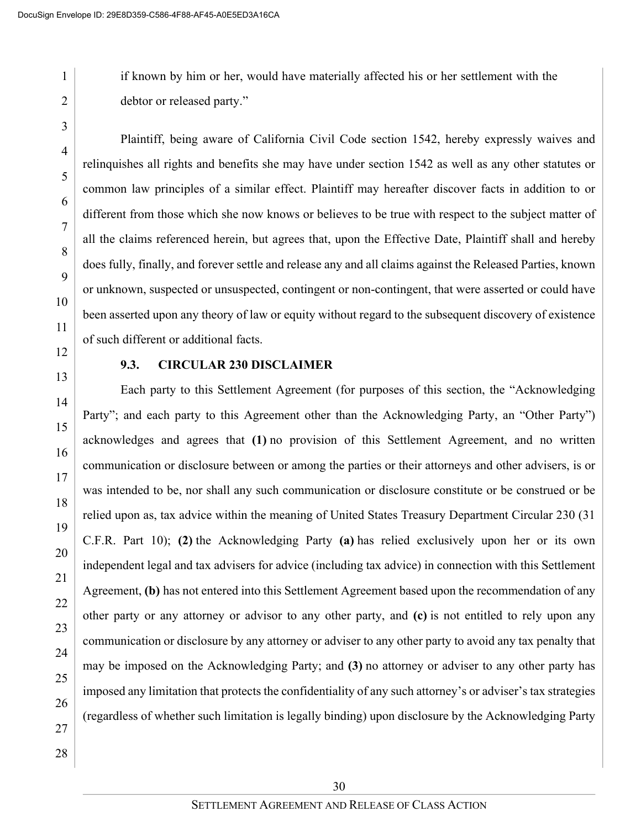if known by him or her, would have materially affected his or her settlement with the debtor or released party."

1

2

3

4

Plaintiff, being aware of California Civil Code section 1542, hereby expressly waives and relinquishes all rights and benefits she may have under section 1542 as well as any other statutes or common law principles of a similar effect. Plaintiff may hereafter discover facts in addition to or different from those which she now knows or believes to be true with respect to the subject matter of all the claims referenced herein, but agrees that, upon the Effective Date, Plaintiff shall and hereby does fully, finally, and forever settle and release any and all claims against the Released Parties, known or unknown, suspected or unsuspected, contingent or non-contingent, that were asserted or could have been asserted upon any theory of law or equity without regard to the subsequent discovery of existence of such different or additional facts.

### **9.3. CIRCULAR 230 DISCLAIMER**

Each party to this Settlement Agreement (for purposes of this section, the "Acknowledging Party"; and each party to this Agreement other than the Acknowledging Party, an "Other Party") acknowledges and agrees that **(1)** no provision of this Settlement Agreement, and no written communication or disclosure between or among the parties or their attorneys and other advisers, is or was intended to be, nor shall any such communication or disclosure constitute or be construed or be relied upon as, tax advice within the meaning of United States Treasury Department Circular 230 (31 C.F.R. Part 10); **(2)** the Acknowledging Party **(a)** has relied exclusively upon her or its own independent legal and tax advisers for advice (including tax advice) in connection with this Settlement Agreement, **(b)** has not entered into this Settlement Agreement based upon the recommendation of any other party or any attorney or advisor to any other party, and **(c)** is not entitled to rely upon any communication or disclosure by any attorney or adviser to any other party to avoid any tax penalty that may be imposed on the Acknowledging Party; and **(3)** no attorney or adviser to any other party has imposed any limitation that protects the confidentiality of any such attorney's or adviser's tax strategies (regardless of whether such limitation is legally binding) upon disclosure by the Acknowledging Party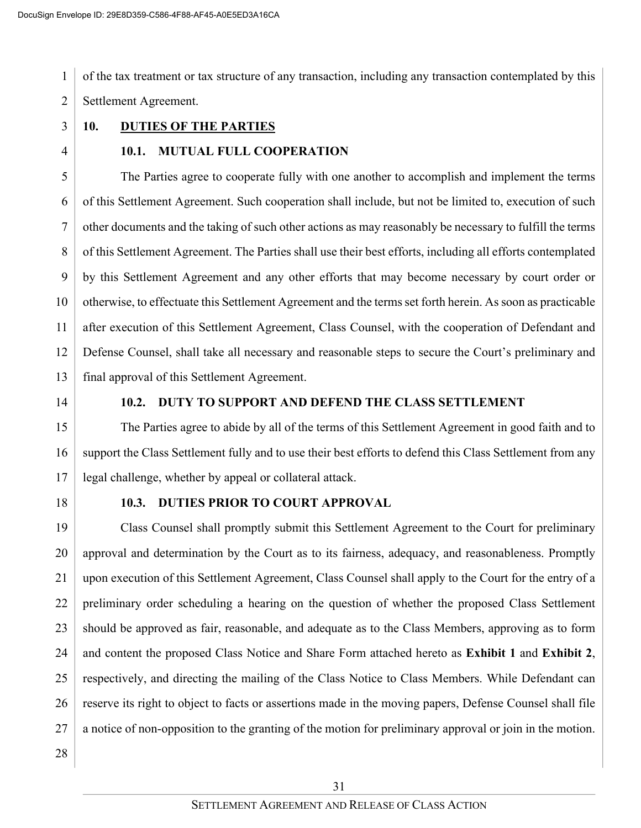1 2 of the tax treatment or tax structure of any transaction, including any transaction contemplated by this Settlement Agreement.

- 3
- 4

# **10. DUTIES OF THE PARTIES**

### **10.1. MUTUAL FULL COOPERATION**

5 6 7 8 9 10 11 12 13 The Parties agree to cooperate fully with one another to accomplish and implement the terms of this Settlement Agreement. Such cooperation shall include, but not be limited to, execution of such other documents and the taking of such other actions as may reasonably be necessary to fulfill the terms of this Settlement Agreement. The Parties shall use their best efforts, including all efforts contemplated by this Settlement Agreement and any other efforts that may become necessary by court order or otherwise, to effectuate this Settlement Agreement and the terms set forth herein. As soon as practicable after execution of this Settlement Agreement, Class Counsel, with the cooperation of Defendant and Defense Counsel, shall take all necessary and reasonable steps to secure the Court's preliminary and final approval of this Settlement Agreement.

14

### **10.2. DUTY TO SUPPORT AND DEFEND THE CLASS SETTLEMENT**

15 16 17 The Parties agree to abide by all of the terms of this Settlement Agreement in good faith and to support the Class Settlement fully and to use their best efforts to defend this Class Settlement from any legal challenge, whether by appeal or collateral attack.

18

#### **10.3. DUTIES PRIOR TO COURT APPROVAL**

19 20 21 22 23 24 25 26 27 Class Counsel shall promptly submit this Settlement Agreement to the Court for preliminary approval and determination by the Court as to its fairness, adequacy, and reasonableness. Promptly upon execution of this Settlement Agreement, Class Counsel shall apply to the Court for the entry of a preliminary order scheduling a hearing on the question of whether the proposed Class Settlement should be approved as fair, reasonable, and adequate as to the Class Members, approving as to form and content the proposed Class Notice and Share Form attached hereto as **Exhibit 1** and **Exhibit 2**, respectively, and directing the mailing of the Class Notice to Class Members. While Defendant can reserve its right to object to facts or assertions made in the moving papers, Defense Counsel shall file a notice of non-opposition to the granting of the motion for preliminary approval or join in the motion.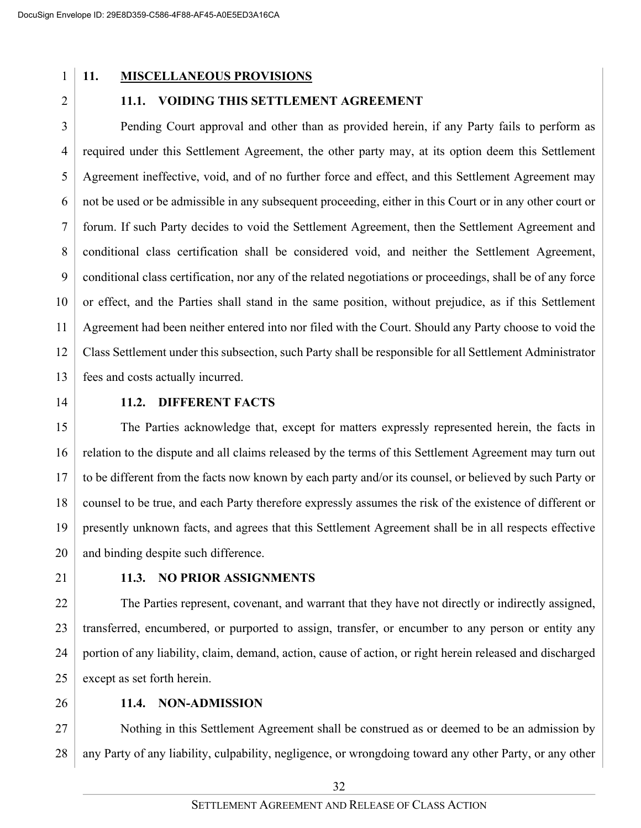### **11. MISCELLANEOUS PROVISIONS**

2

### **11.1. VOIDING THIS SETTLEMENT AGREEMENT**

3 4 5 6 7 8 9 10 11 12 13 Pending Court approval and other than as provided herein, if any Party fails to perform as required under this Settlement Agreement, the other party may, at its option deem this Settlement Agreement ineffective, void, and of no further force and effect, and this Settlement Agreement may not be used or be admissible in any subsequent proceeding, either in this Court or in any other court or forum. If such Party decides to void the Settlement Agreement, then the Settlement Agreement and conditional class certification shall be considered void, and neither the Settlement Agreement, conditional class certification, nor any of the related negotiations or proceedings, shall be of any force or effect, and the Parties shall stand in the same position, without prejudice, as if this Settlement Agreement had been neither entered into nor filed with the Court. Should any Party choose to void the Class Settlement under this subsection, such Party shall be responsible for all Settlement Administrator fees and costs actually incurred.

14

### **11.2. DIFFERENT FACTS**

15 16 17 18 19 20 The Parties acknowledge that, except for matters expressly represented herein, the facts in relation to the dispute and all claims released by the terms of this Settlement Agreement may turn out to be different from the facts now known by each party and/or its counsel, or believed by such Party or counsel to be true, and each Party therefore expressly assumes the risk of the existence of different or presently unknown facts, and agrees that this Settlement Agreement shall be in all respects effective and binding despite such difference.

21

### **11.3. NO PRIOR ASSIGNMENTS**

22 23 24 25 The Parties represent, covenant, and warrant that they have not directly or indirectly assigned, transferred, encumbered, or purported to assign, transfer, or encumber to any person or entity any portion of any liability, claim, demand, action, cause of action, or right herein released and discharged except as set forth herein.

26

### **11.4. NON-ADMISSION**

27 28 Nothing in this Settlement Agreement shall be construed as or deemed to be an admission by any Party of any liability, culpability, negligence, or wrongdoing toward any other Party, or any other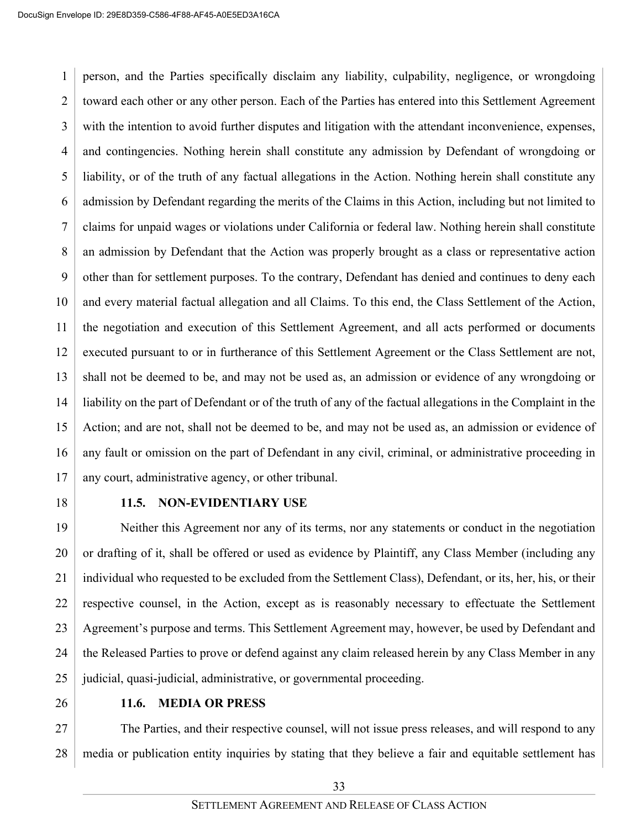1 2 3 4 5 6 7 8 9 10 11 12 13 14 15 16 17 person, and the Parties specifically disclaim any liability, culpability, negligence, or wrongdoing toward each other or any other person. Each of the Parties has entered into this Settlement Agreement with the intention to avoid further disputes and litigation with the attendant inconvenience, expenses, and contingencies. Nothing herein shall constitute any admission by Defendant of wrongdoing or liability, or of the truth of any factual allegations in the Action. Nothing herein shall constitute any admission by Defendant regarding the merits of the Claims in this Action, including but not limited to claims for unpaid wages or violations under California or federal law. Nothing herein shall constitute an admission by Defendant that the Action was properly brought as a class or representative action other than for settlement purposes. To the contrary, Defendant has denied and continues to deny each and every material factual allegation and all Claims. To this end, the Class Settlement of the Action, the negotiation and execution of this Settlement Agreement, and all acts performed or documents executed pursuant to or in furtherance of this Settlement Agreement or the Class Settlement are not, shall not be deemed to be, and may not be used as, an admission or evidence of any wrongdoing or liability on the part of Defendant or of the truth of any of the factual allegations in the Complaint in the Action; and are not, shall not be deemed to be, and may not be used as, an admission or evidence of any fault or omission on the part of Defendant in any civil, criminal, or administrative proceeding in any court, administrative agency, or other tribunal.

18

#### **11.5. NON-EVIDENTIARY USE**

19 20 21 22 23 24 25 Neither this Agreement nor any of its terms, nor any statements or conduct in the negotiation or drafting of it, shall be offered or used as evidence by Plaintiff, any Class Member (including any individual who requested to be excluded from the Settlement Class), Defendant, or its, her, his, or their respective counsel, in the Action, except as is reasonably necessary to effectuate the Settlement Agreement's purpose and terms. This Settlement Agreement may, however, be used by Defendant and the Released Parties to prove or defend against any claim released herein by any Class Member in any judicial, quasi-judicial, administrative, or governmental proceeding.

26

#### **11.6. MEDIA OR PRESS**

27 28 The Parties, and their respective counsel, will not issue press releases, and will respond to any media or publication entity inquiries by stating that they believe a fair and equitable settlement has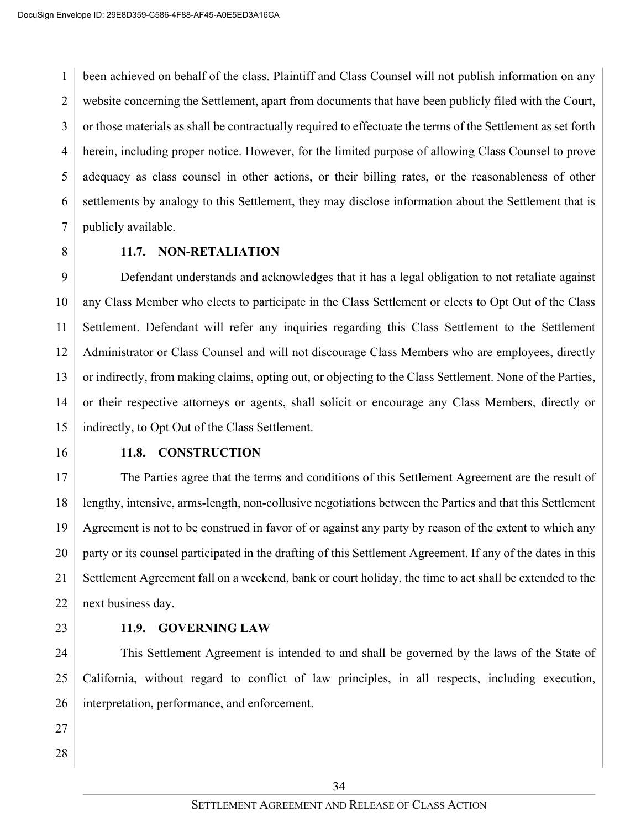1 2 3 4 5 6 7 been achieved on behalf of the class. Plaintiff and Class Counsel will not publish information on any website concerning the Settlement, apart from documents that have been publicly filed with the Court, or those materials as shall be contractually required to effectuate the terms of the Settlement as set forth herein, including proper notice. However, for the limited purpose of allowing Class Counsel to prove adequacy as class counsel in other actions, or their billing rates, or the reasonableness of other settlements by analogy to this Settlement, they may disclose information about the Settlement that is publicly available.

8

### **11.7. NON-RETALIATION**

9 10 11 12 13 14 15 Defendant understands and acknowledges that it has a legal obligation to not retaliate against any Class Member who elects to participate in the Class Settlement or elects to Opt Out of the Class Settlement. Defendant will refer any inquiries regarding this Class Settlement to the Settlement Administrator or Class Counsel and will not discourage Class Members who are employees, directly or indirectly, from making claims, opting out, or objecting to the Class Settlement. None of the Parties, or their respective attorneys or agents, shall solicit or encourage any Class Members, directly or indirectly, to Opt Out of the Class Settlement.

16

### **11.8. CONSTRUCTION**

17 18 19 20 21 22 The Parties agree that the terms and conditions of this Settlement Agreement are the result of lengthy, intensive, arms-length, non-collusive negotiations between the Parties and that this Settlement Agreement is not to be construed in favor of or against any party by reason of the extent to which any party or its counsel participated in the drafting of this Settlement Agreement. If any of the dates in this Settlement Agreement fall on a weekend, bank or court holiday, the time to act shall be extended to the next business day.

23

### **11.9. GOVERNING LAW**

24 25 26 This Settlement Agreement is intended to and shall be governed by the laws of the State of California, without regard to conflict of law principles, in all respects, including execution, interpretation, performance, and enforcement.

- 27
- 28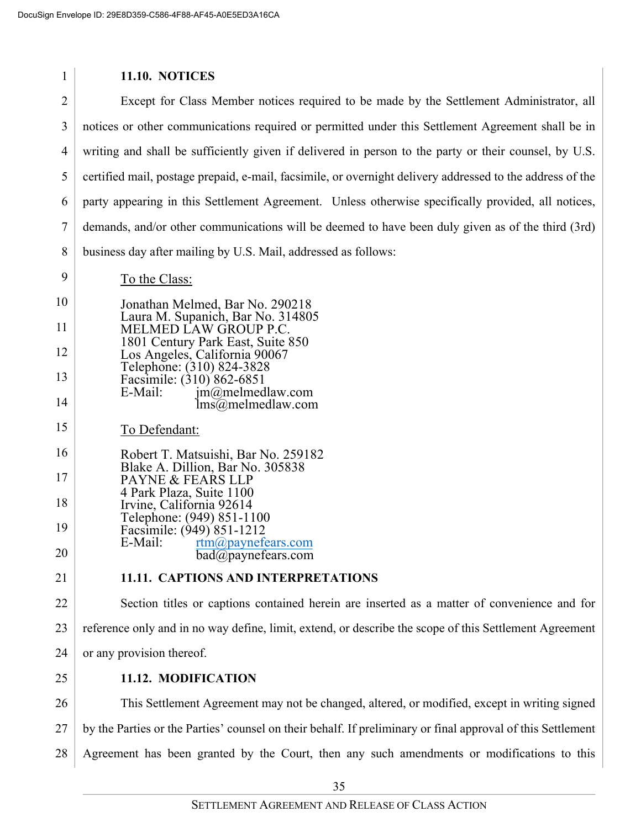| 1              | <b>11.10. NOTICES</b>                                                                                       |
|----------------|-------------------------------------------------------------------------------------------------------------|
| $\overline{2}$ | Except for Class Member notices required to be made by the Settlement Administrator, all                    |
| 3              | notices or other communications required or permitted under this Settlement Agreement shall be in           |
| 4              | writing and shall be sufficiently given if delivered in person to the party or their counsel, by U.S.       |
| 5              | certified mail, postage prepaid, e-mail, facsimile, or overnight delivery addressed to the address of the   |
| 6              | party appearing in this Settlement Agreement. Unless otherwise specifically provided, all notices,          |
| 7              | demands, and/or other communications will be deemed to have been duly given as of the third (3rd)           |
| 8              | business day after mailing by U.S. Mail, addressed as follows:                                              |
| 9              | To the Class:                                                                                               |
| 10             | Jonathan Melmed, Bar No. 290218                                                                             |
| 11             | Laura M. Supanich, Bar No. 314805<br>MELMED LAW GROUP P.C.                                                  |
| 12             | 1801 Century Park East, Suite 850<br>Los Angeles, California 90067                                          |
| 13             | Telephone: (310) 824-3828<br>Facsimile: (310) 862-6851                                                      |
| 14             | E-Mail:<br>$jm@$ melmedlaw.com<br>$\text{Ims}\overline{\omega}$ melmedlaw.com                               |
| 15             | To Defendant:                                                                                               |
| 16             | Robert T. Matsuishi, Bar No. 259182<br>Blake A. Dillion, Bar No. 305838                                     |
| 17             | PAYNE & FEARS LLP<br>4 Park Plaza, Suite 1100                                                               |
| 18             | Irvine, California 92614<br>Telephone: (949) 851-1100                                                       |
| 19             | Facsimile: (949) 851-1212<br>E-Mail:<br>rtm@paynefears.com                                                  |
| 20             | bad@paynefears.com                                                                                          |
| 21             | 11.11. CAPTIONS AND INTERPRETATIONS                                                                         |
| 22             | Section titles or captions contained herein are inserted as a matter of convenience and for                 |
| 23             | reference only and in no way define, limit, extend, or describe the scope of this Settlement Agreement      |
| 24             | or any provision thereof.                                                                                   |
| 25             | 11.12. MODIFICATION                                                                                         |
| 26             | This Settlement Agreement may not be changed, altered, or modified, except in writing signed                |
| 27             | by the Parties or the Parties' counsel on their behalf. If preliminary or final approval of this Settlement |
| 28             | Agreement has been granted by the Court, then any such amendments or modifications to this                  |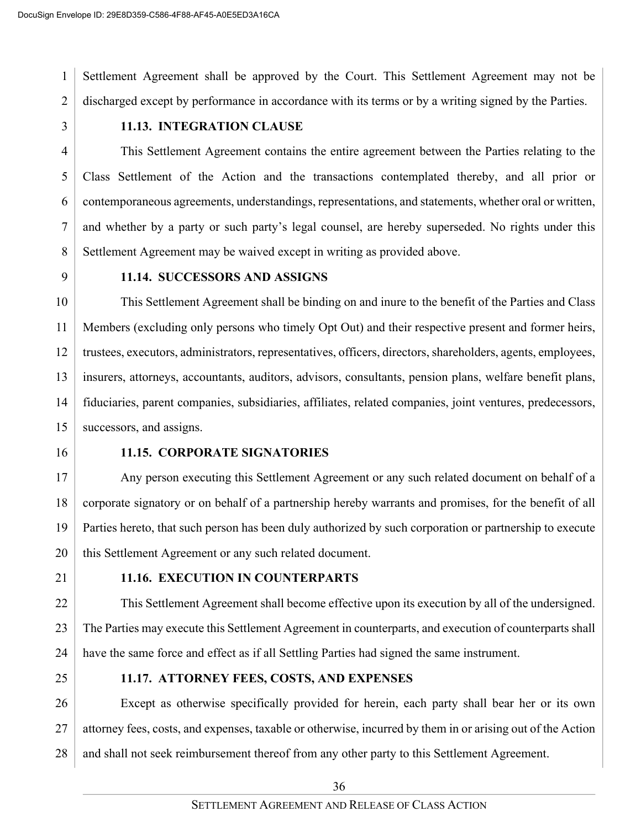1 2 Settlement Agreement shall be approved by the Court. This Settlement Agreement may not be discharged except by performance in accordance with its terms or by a writing signed by the Parties.

3

### **11.13. INTEGRATION CLAUSE**

4 5 6 7 8 This Settlement Agreement contains the entire agreement between the Parties relating to the Class Settlement of the Action and the transactions contemplated thereby, and all prior or contemporaneous agreements, understandings, representations, and statements, whether oral or written, and whether by a party or such party's legal counsel, are hereby superseded. No rights under this Settlement Agreement may be waived except in writing as provided above.

9

#### **11.14. SUCCESSORS AND ASSIGNS**

10 11 12 13 14 15 This Settlement Agreement shall be binding on and inure to the benefit of the Parties and Class Members (excluding only persons who timely Opt Out) and their respective present and former heirs, trustees, executors, administrators, representatives, officers, directors, shareholders, agents, employees, insurers, attorneys, accountants, auditors, advisors, consultants, pension plans, welfare benefit plans, fiduciaries, parent companies, subsidiaries, affiliates, related companies, joint ventures, predecessors, successors, and assigns.

16

#### **11.15. CORPORATE SIGNATORIES**

17 18 19 20 Any person executing this Settlement Agreement or any such related document on behalf of a corporate signatory or on behalf of a partnership hereby warrants and promises, for the benefit of all Parties hereto, that such person has been duly authorized by such corporation or partnership to execute this Settlement Agreement or any such related document.

21

### **11.16. EXECUTION IN COUNTERPARTS**

22 23 24 This Settlement Agreement shall become effective upon its execution by all of the undersigned. The Parties may execute this Settlement Agreement in counterparts, and execution of counterparts shall have the same force and effect as if all Settling Parties had signed the same instrument.

25

### **11.17. ATTORNEY FEES, COSTS, AND EXPENSES**

26 27 28 Except as otherwise specifically provided for herein, each party shall bear her or its own attorney fees, costs, and expenses, taxable or otherwise, incurred by them in or arising out of the Action and shall not seek reimbursement thereof from any other party to this Settlement Agreement.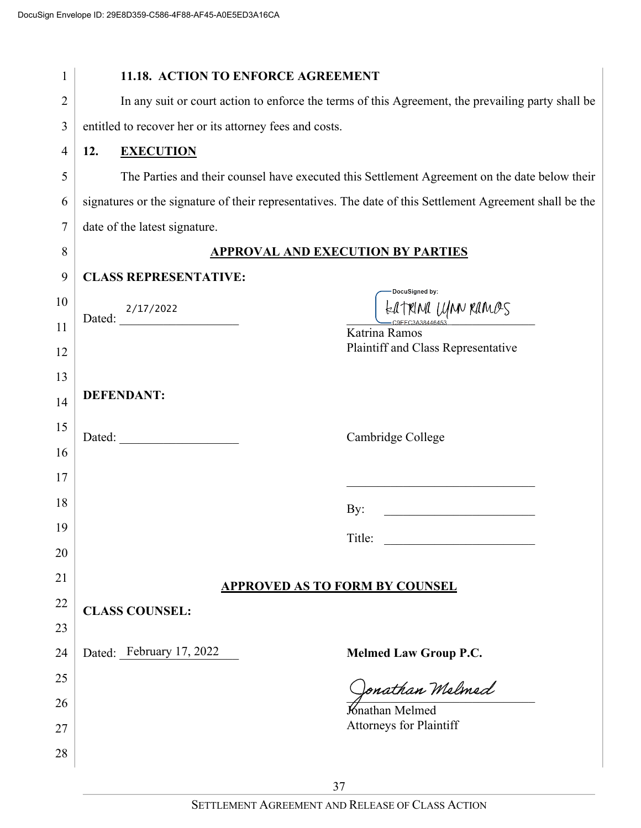| 1              | 11.18. ACTION TO ENFORCE AGREEMENT                                                                                                                                                                                                          |
|----------------|---------------------------------------------------------------------------------------------------------------------------------------------------------------------------------------------------------------------------------------------|
| $\overline{2}$ | In any suit or court action to enforce the terms of this Agreement, the prevailing party shall be                                                                                                                                           |
| 3              | entitled to recover her or its attorney fees and costs.                                                                                                                                                                                     |
| 4              | 12.<br><b>EXECUTION</b>                                                                                                                                                                                                                     |
| 5              | The Parties and their counsel have executed this Settlement Agreement on the date below their                                                                                                                                               |
| 6              | signatures or the signature of their representatives. The date of this Settlement Agreement shall be the                                                                                                                                    |
| 7              | date of the latest signature.                                                                                                                                                                                                               |
| 8              | <b>APPROVAL AND EXECUTION BY PARTIES</b>                                                                                                                                                                                                    |
| 9              | <b>CLASS REPRESENTATIVE:</b>                                                                                                                                                                                                                |
| 10             | DocuSigned by:<br>EATRINA UMN RAMOS                                                                                                                                                                                                         |
| 11             | Dated: $\frac{2/17/2022}{2}$<br>Katrina Ramos                                                                                                                                                                                               |
| 12             | Plaintiff and Class Representative                                                                                                                                                                                                          |
| 13             |                                                                                                                                                                                                                                             |
| 14             | <b>DEFENDANT:</b>                                                                                                                                                                                                                           |
| 15             | Cambridge College                                                                                                                                                                                                                           |
| 16             |                                                                                                                                                                                                                                             |
| 17             |                                                                                                                                                                                                                                             |
| 18             | By:<br><u> 2008 - Johann Stoff, martin Stoff, martin Stoff, martin Stoff, martin Stoff, martin Stoff, martin Stoff, martin Stoff, martin Stoff, martin Stoff, martin Stoff, martin Stoff, martin Stoff, martin Stoff, martin Stoff, mar</u> |
| 19             | Title:<br><u> 1989 - Jan Stein Stein Stein Stein Stein Stein Stein Stein Stein Stein Stein Stein Stein Stein Stein Stein St</u>                                                                                                             |
| 20             |                                                                                                                                                                                                                                             |
| 21             | <b>APPROVED AS TO FORM BY COUNSEL</b>                                                                                                                                                                                                       |
| 22             | <b>CLASS COUNSEL:</b>                                                                                                                                                                                                                       |
| 23             |                                                                                                                                                                                                                                             |
| 24             | Dated: February 17, 2022<br><b>Melmed Law Group P.C.</b>                                                                                                                                                                                    |
| 25             | Jonathan Melmed                                                                                                                                                                                                                             |
| 26             | Knathan Melmed                                                                                                                                                                                                                              |
| 27             | <b>Attorneys for Plaintiff</b>                                                                                                                                                                                                              |
| 28             |                                                                                                                                                                                                                                             |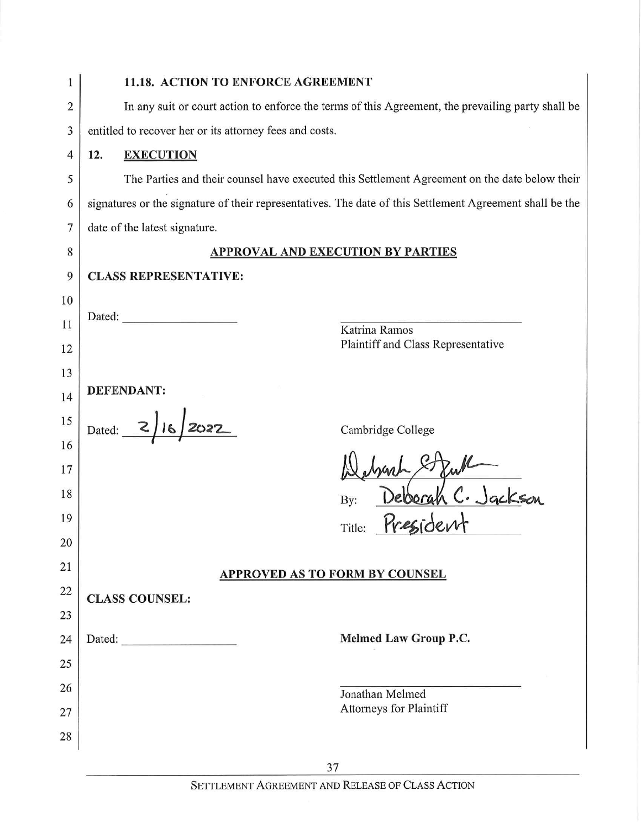| 1  | 11.18. ACTION TO ENFORCE AGREEMENT                                                                                                                                                                                                              |
|----|-------------------------------------------------------------------------------------------------------------------------------------------------------------------------------------------------------------------------------------------------|
| 2  | In any suit or court action to enforce the terms of this Agreement, the prevailing party shall be                                                                                                                                               |
| 3  | entitled to recover her or its attorney fees and costs.                                                                                                                                                                                         |
| 4  | <b>EXECUTION</b><br>12.                                                                                                                                                                                                                         |
| 5  | The Parties and their counsel have executed this Settlement Agreement on the date below their                                                                                                                                                   |
| 6  | signatures or the signature of their representatives. The date of this Settlement Agreement shall be the                                                                                                                                        |
| 7  | date of the latest signature.                                                                                                                                                                                                                   |
| 8  | <b>APPROVAL AND EXECUTION BY PARTIES</b>                                                                                                                                                                                                        |
| 9  | <b>CLASS REPRESENTATIVE:</b>                                                                                                                                                                                                                    |
| 10 |                                                                                                                                                                                                                                                 |
| 11 | Dated: The contract of the contract of the contract of the contract of the contract of the contract of the contract of the contract of the contract of the contract of the contract of the contract of the contract of the con<br>Katrina Ramos |
| 12 | Plaintiff and Class Representative                                                                                                                                                                                                              |
| 13 |                                                                                                                                                                                                                                                 |
| 14 | <b>DEFENDANT:</b>                                                                                                                                                                                                                               |
| 15 | Dated: $\frac{2}{\sqrt{2}}$<br>Cambridge College                                                                                                                                                                                                |
| 16 |                                                                                                                                                                                                                                                 |
| 17 |                                                                                                                                                                                                                                                 |
| 18 | By:                                                                                                                                                                                                                                             |
| 19 | Title:                                                                                                                                                                                                                                          |
| 20 |                                                                                                                                                                                                                                                 |
| 21 | <b>APPROVED AS TO FORM BY COUNSEL</b>                                                                                                                                                                                                           |
| 22 | <b>CLASS COUNSEL:</b>                                                                                                                                                                                                                           |
| 23 | <b>Melmed Law Group P.C.</b>                                                                                                                                                                                                                    |
| 24 |                                                                                                                                                                                                                                                 |
| 25 |                                                                                                                                                                                                                                                 |
| 26 | Jonathan Melmed<br><b>Attorneys for Plaintiff</b>                                                                                                                                                                                               |
| 27 |                                                                                                                                                                                                                                                 |
| 28 |                                                                                                                                                                                                                                                 |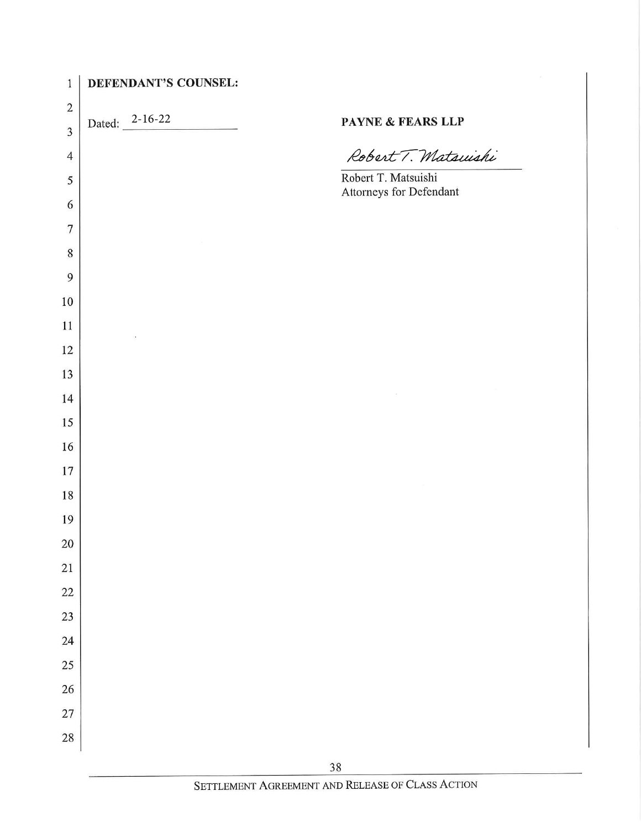| $\mathbf{1}$   | DEFENDANT'S COUNSEL:                     |                                                |
|----------------|------------------------------------------|------------------------------------------------|
| $\overline{c}$ |                                          |                                                |
| 3              | Dated: 2-16-22<br><u> Alban Maria Ba</u> | PAYNE & FEARS LLP                              |
| $\overline{4}$ |                                          | Robert T. Matsuishi                            |
| 5              |                                          | Robert T. Matsuishi<br>Attorneys for Defendant |
| 6              |                                          |                                                |
| $\overline{7}$ |                                          |                                                |
| 8              |                                          |                                                |
| 9              |                                          |                                                |
| $10\,$         |                                          |                                                |
| 11             |                                          |                                                |
| 12             |                                          |                                                |
| 13             |                                          |                                                |
| 14             |                                          |                                                |
| 15             |                                          |                                                |
| 16             |                                          |                                                |
| 17             |                                          |                                                |
| 18             |                                          |                                                |
| 19             |                                          |                                                |
| 20             |                                          |                                                |
| 21             |                                          |                                                |
| $22\,$         |                                          |                                                |
| $23\,$         |                                          |                                                |
| 24             |                                          |                                                |
| $25\,$         |                                          |                                                |
| $26\,$         |                                          |                                                |
| 27             |                                          |                                                |
| 28             |                                          |                                                |
|                |                                          | 2Q                                             |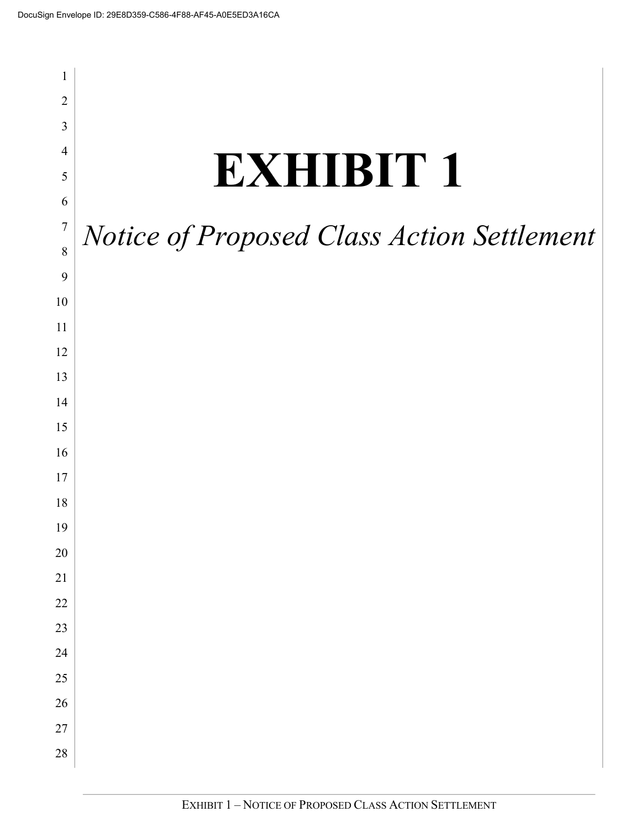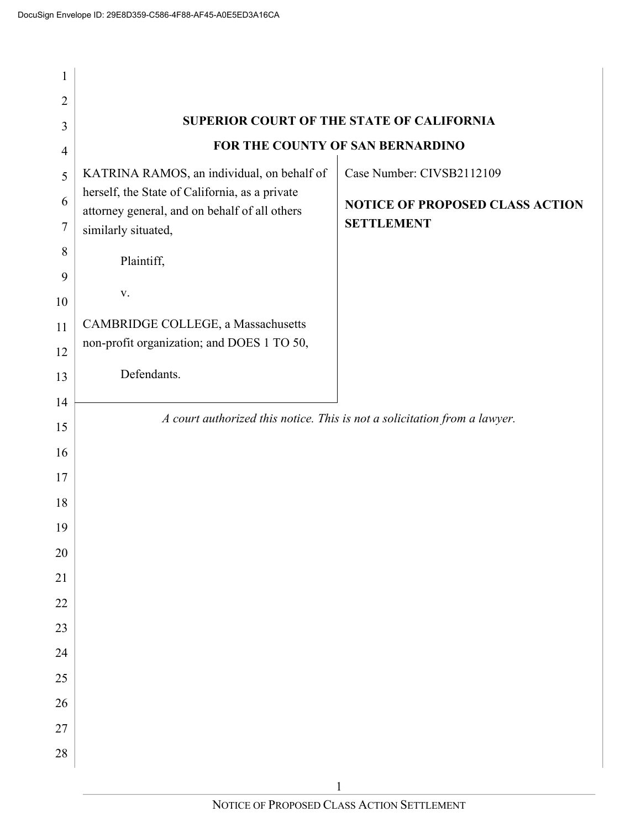$\overline{1}$ 

| $\mathbf{1}$   |                                                                                                 |                                                                           |
|----------------|-------------------------------------------------------------------------------------------------|---------------------------------------------------------------------------|
| $\overline{2}$ |                                                                                                 |                                                                           |
| 3              |                                                                                                 | SUPERIOR COURT OF THE STATE OF CALIFORNIA                                 |
| $\overline{4}$ |                                                                                                 | FOR THE COUNTY OF SAN BERNARDINO                                          |
| 5              | KATRINA RAMOS, an individual, on behalf of                                                      | Case Number: CIVSB2112109                                                 |
| 6              | herself, the State of California, as a private<br>attorney general, and on behalf of all others | <b>NOTICE OF PROPOSED CLASS ACTION</b>                                    |
| 7              | similarly situated,                                                                             | <b>SETTLEMENT</b>                                                         |
| 8              | Plaintiff,                                                                                      |                                                                           |
| 9<br>10        | V.                                                                                              |                                                                           |
| 11             | CAMBRIDGE COLLEGE, a Massachusetts                                                              |                                                                           |
| 12             | non-profit organization; and DOES 1 TO 50,                                                      |                                                                           |
| 13             | Defendants.                                                                                     |                                                                           |
| 14             |                                                                                                 |                                                                           |
| 15             |                                                                                                 | A court authorized this notice. This is not a solicitation from a lawyer. |
| 16             |                                                                                                 |                                                                           |
| 17             |                                                                                                 |                                                                           |
| 18             |                                                                                                 |                                                                           |
| 19             |                                                                                                 |                                                                           |
| $20\,$         |                                                                                                 |                                                                           |
| 21             |                                                                                                 |                                                                           |
| 22             |                                                                                                 |                                                                           |
| 23             |                                                                                                 |                                                                           |
| 24             |                                                                                                 |                                                                           |
| 25             |                                                                                                 |                                                                           |
| 26             |                                                                                                 |                                                                           |
| 27             |                                                                                                 |                                                                           |
| 28             |                                                                                                 |                                                                           |
|                |                                                                                                 |                                                                           |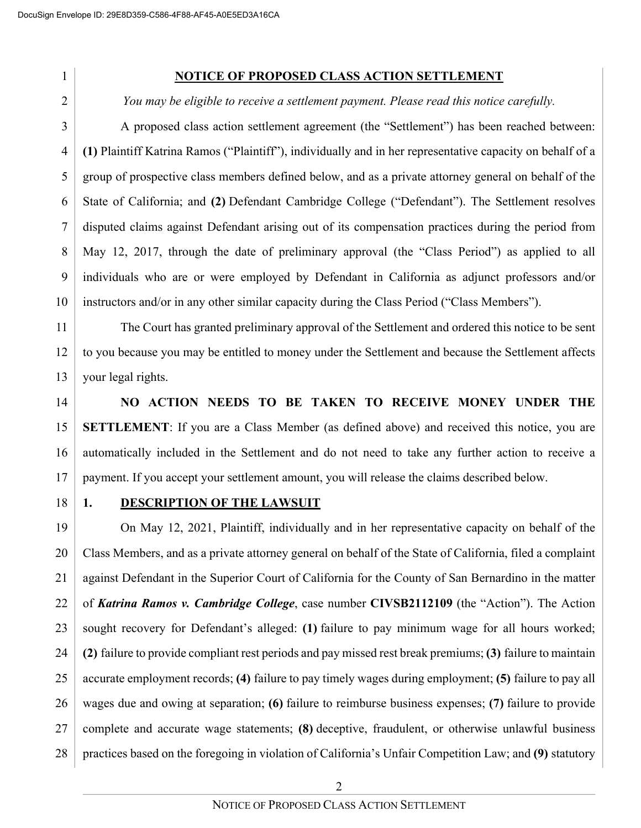#### **NOTICE OF PROPOSED CLASS ACTION SETTLEMENT**

*You may be eligible to receive a settlement payment. Please read this notice carefully.*

3 4 5 6 7 8 9 10 A proposed class action settlement agreement (the "Settlement") has been reached between: **(1)** Plaintiff Katrina Ramos ("Plaintiff"), individually and in her representative capacity on behalf of a group of prospective class members defined below, and as a private attorney general on behalf of the State of California; and **(2)** Defendant Cambridge College ("Defendant"). The Settlement resolves disputed claims against Defendant arising out of its compensation practices during the period from May 12, 2017, through the date of preliminary approval (the "Class Period") as applied to all individuals who are or were employed by Defendant in California as adjunct professors and/or instructors and/or in any other similar capacity during the Class Period ("Class Members").

11 12 13 The Court has granted preliminary approval of the Settlement and ordered this notice to be sent to you because you may be entitled to money under the Settlement and because the Settlement affects your legal rights.

14 15 16 17 **NO ACTION NEEDS TO BE TAKEN TO RECEIVE MONEY UNDER THE SETTLEMENT**: If you are a Class Member (as defined above) and received this notice, you are automatically included in the Settlement and do not need to take any further action to receive a payment. If you accept your settlement amount, you will release the claims described below.

18

#### **1. DESCRIPTION OF THE LAWSUIT**

19 20 21 22 23 24 25 26 27 28 On May 12, 2021, Plaintiff, individually and in her representative capacity on behalf of the Class Members, and as a private attorney general on behalf of the State of California, filed a complaint against Defendant in the Superior Court of California for the County of San Bernardino in the matter of *Katrina Ramos v. Cambridge College*, case number **CIVSB2112109** (the "Action"). The Action sought recovery for Defendant's alleged: **(1)** failure to pay minimum wage for all hours worked; **(2)** failure to provide compliant rest periods and pay missed rest break premiums; **(3)** failure to maintain accurate employment records; **(4)** failure to pay timely wages during employment; **(5)** failure to pay all wages due and owing at separation; **(6)** failure to reimburse business expenses; **(7)** failure to provide complete and accurate wage statements; **(8)** deceptive, fraudulent, or otherwise unlawful business practices based on the foregoing in violation of California's Unfair Competition Law; and **(9)** statutory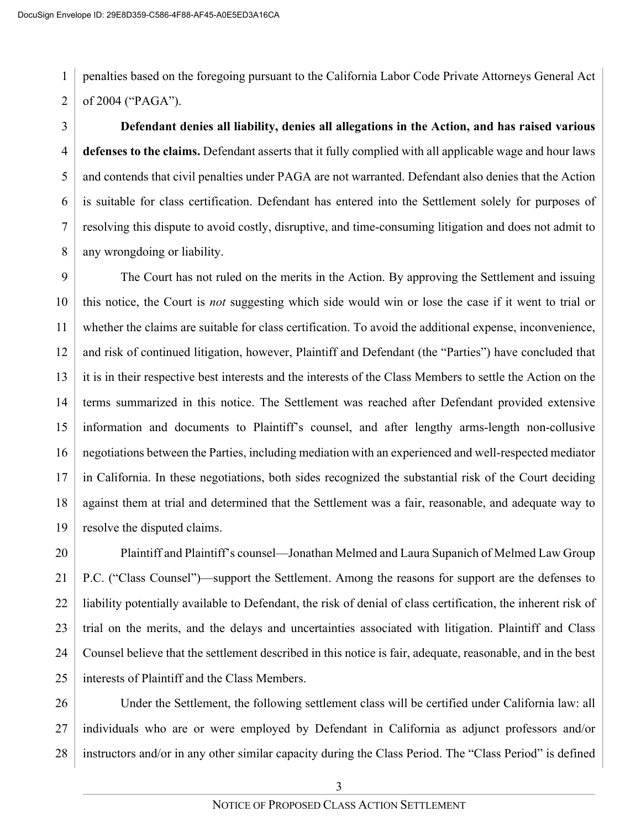1 2 penalties based on the foregoing pursuant to the California Labor Code Private Attorneys General Act of 2004 ("PAGA").

3 4 5 6 7 8 **Defendant denies all liability, denies all allegations in the Action, and has raised various defenses to the claims.** Defendant asserts that it fully complied with all applicable wage and hour laws and contends that civil penalties under PAGA are not warranted. Defendant also denies that the Action is suitable for class certification. Defendant has entered into the Settlement solely for purposes of resolving this dispute to avoid costly, disruptive, and time-consuming litigation and does not admit to any wrongdoing or liability.

9 10 11 12 13 14 15 16 17 18 19 The Court has not ruled on the merits in the Action. By approving the Settlement and issuing this notice, the Court is *not* suggesting which side would win or lose the case if it went to trial or whether the claims are suitable for class certification. To avoid the additional expense, inconvenience, and risk of continued litigation, however, Plaintiff and Defendant (the "Parties") have concluded that it is in their respective best interests and the interests of the Class Members to settle the Action on the terms summarized in this notice. The Settlement was reached after Defendant provided extensive information and documents to Plaintiff's counsel, and after lengthy arms-length non-collusive negotiations between the Parties, including mediation with an experienced and well-respected mediator in California. In these negotiations, both sides recognized the substantial risk of the Court deciding against them at trial and determined that the Settlement was a fair, reasonable, and adequate way to resolve the disputed claims.

20 21 22 23 24 25 Plaintiff and Plaintiff's counsel—Jonathan Melmed and Laura Supanich of Melmed Law Group P.C. ("Class Counsel")—support the Settlement. Among the reasons for support are the defenses to liability potentially available to Defendant, the risk of denial of class certification, the inherent risk of trial on the merits, and the delays and uncertainties associated with litigation. Plaintiff and Class Counsel believe that the settlement described in this notice is fair, adequate, reasonable, and in the best interests of Plaintiff and the Class Members.

26 27 28 Under the Settlement, the following settlement class will be certified under California law: all individuals who are or were employed by Defendant in California as adjunct professors and/or instructors and/or in any other similar capacity during the Class Period. The "Class Period" is defined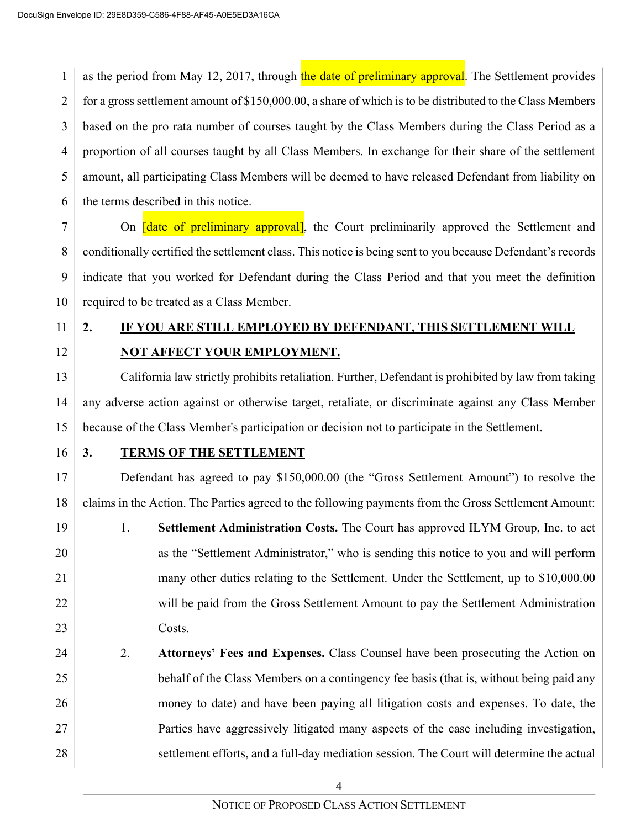1 2 3 4 5 6 as the period from May 12, 2017, through the date of preliminary approval. The Settlement provides for a gross settlement amount of \$150,000.00, a share of which is to be distributed to the Class Members based on the pro rata number of courses taught by the Class Members during the Class Period as a proportion of all courses taught by all Class Members. In exchange for their share of the settlement amount, all participating Class Members will be deemed to have released Defendant from liability on the terms described in this notice.

7 8 9 10 On *date of preliminary approval*, the Court preliminarily approved the Settlement and conditionally certified the settlement class. This notice is being sent to you because Defendant'srecords indicate that you worked for Defendant during the Class Period and that you meet the definition required to be treated as a Class Member.

- 11
- 12

# **2. IF YOU ARE STILL EMPLOYED BY DEFENDANT, THIS SETTLEMENT WILL NOT AFFECT YOUR EMPLOYMENT.**

13 14 15 California law strictly prohibits retaliation. Further, Defendant is prohibited by law from taking any adverse action against or otherwise target, retaliate, or discriminate against any Class Member because of the Class Member's participation or decision not to participate in the Settlement.

16

### **3. TERMS OF THE SETTLEMENT**

17 18 Defendant has agreed to pay \$150,000.00 (the "Gross Settlement Amount") to resolve the claims in the Action. The Parties agreed to the following payments from the Gross Settlement Amount:

19 20 21 22 23 1. **Settlement Administration Costs.** The Court has approved ILYM Group, Inc. to act as the "Settlement Administrator," who is sending this notice to you and will perform many other duties relating to the Settlement. Under the Settlement, up to \$10,000.00 will be paid from the Gross Settlement Amount to pay the Settlement Administration Costs.

24 25 26 27 28 2. **Attorneys' Fees and Expenses.** Class Counsel have been prosecuting the Action on behalf of the Class Members on a contingency fee basis (that is, without being paid any money to date) and have been paying all litigation costs and expenses. To date, the Parties have aggressively litigated many aspects of the case including investigation, settlement efforts, and a full-day mediation session. The Court will determine the actual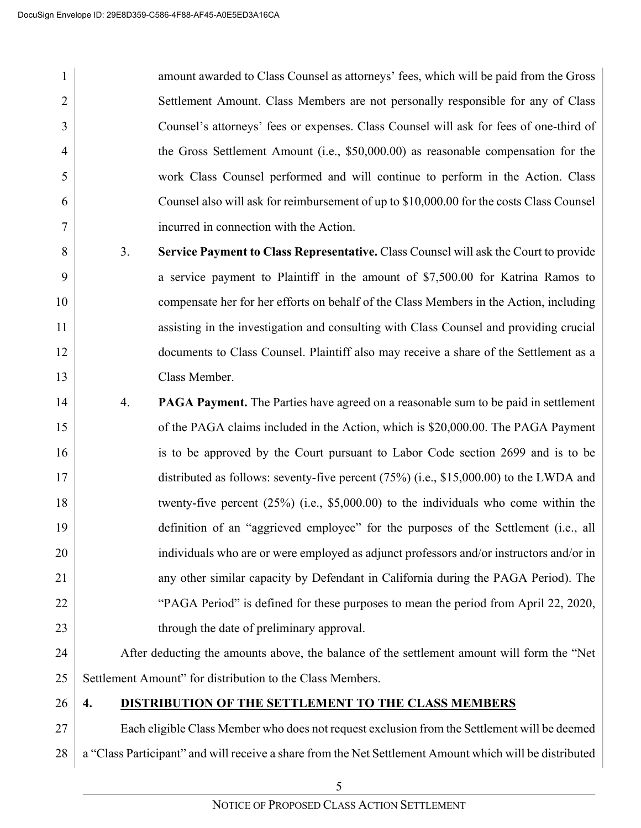2

3

4

5

6

7

amount awarded to Class Counsel as attorneys' fees, which will be paid from the Gross Settlement Amount. Class Members are not personally responsible for any of Class Counsel's attorneys' fees or expenses. Class Counsel will ask for fees of one-third of the Gross Settlement Amount (i.e., \$50,000.00) as reasonable compensation for the work Class Counsel performed and will continue to perform in the Action. Class Counsel also will ask for reimbursement of up to \$10,000.00 for the costs Class Counsel incurred in connection with the Action.

- 8 9 10 11 12 13 3. **Service Payment to Class Representative.** Class Counsel will ask the Court to provide a service payment to Plaintiff in the amount of \$7,500.00 for Katrina Ramos to compensate her for her efforts on behalf of the Class Members in the Action, including assisting in the investigation and consulting with Class Counsel and providing crucial documents to Class Counsel. Plaintiff also may receive a share of the Settlement as a Class Member.
- 14 15 16 17 18 19 20 21 22 23 4. **PAGA Payment.** The Parties have agreed on a reasonable sum to be paid in settlement of the PAGA claims included in the Action, which is \$20,000.00. The PAGA Payment is to be approved by the Court pursuant to Labor Code section 2699 and is to be distributed as follows: seventy-five percent (75%) (i.e., \$15,000.00) to the LWDA and twenty-five percent (25%) (i.e., \$5,000.00) to the individuals who come within the definition of an "aggrieved employee" for the purposes of the Settlement (i.e., all individuals who are or were employed as adjunct professors and/or instructors and/or in any other similar capacity by Defendant in California during the PAGA Period). The "PAGA Period" is defined for these purposes to mean the period from April 22, 2020, through the date of preliminary approval.
- 24 25 After deducting the amounts above, the balance of the settlement amount will form the "Net Settlement Amount" for distribution to the Class Members.
- 26

### **4. DISTRIBUTION OF THE SETTLEMENT TO THE CLASS MEMBERS**

27 28 Each eligible Class Member who does not request exclusion from the Settlement will be deemed a "Class Participant" and will receive a share from the Net Settlement Amount which will be distributed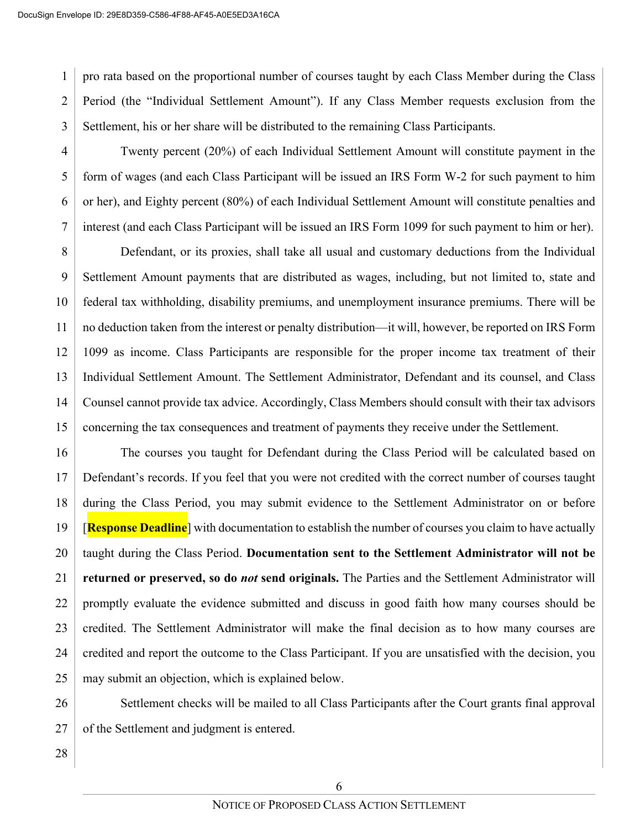1 2 3 pro rata based on the proportional number of courses taught by each Class Member during the Class Period (the "Individual Settlement Amount"). If any Class Member requests exclusion from the Settlement, his or her share will be distributed to the remaining Class Participants.

4 5 6 7 Twenty percent (20%) of each Individual Settlement Amount will constitute payment in the form of wages (and each Class Participant will be issued an IRS Form W-2 for such payment to him or her), and Eighty percent (80%) of each Individual Settlement Amount will constitute penalties and interest (and each Class Participant will be issued an IRS Form 1099 for such payment to him or her).

8 9 10 11 12 13 14 15 Defendant, or its proxies, shall take all usual and customary deductions from the Individual Settlement Amount payments that are distributed as wages, including, but not limited to, state and federal tax withholding, disability premiums, and unemployment insurance premiums. There will be no deduction taken from the interest or penalty distribution—it will, however, be reported on IRS Form 1099 as income. Class Participants are responsible for the proper income tax treatment of their Individual Settlement Amount. The Settlement Administrator, Defendant and its counsel, and Class Counsel cannot provide tax advice. Accordingly, Class Members should consult with their tax advisors concerning the tax consequences and treatment of payments they receive under the Settlement.

16 17 18 19 20 21 22 23 24 25 The courses you taught for Defendant during the Class Period will be calculated based on Defendant's records. If you feel that you were not credited with the correct number of courses taught during the Class Period, you may submit evidence to the Settlement Administrator on or before [**Response Deadline**] with documentation to establish the number of courses you claim to have actually taught during the Class Period. **Documentation sent to the Settlement Administrator will not be returned or preserved, so do** *not* **send originals.** The Parties and the Settlement Administrator will promptly evaluate the evidence submitted and discuss in good faith how many courses should be credited. The Settlement Administrator will make the final decision as to how many courses are credited and report the outcome to the Class Participant. If you are unsatisfied with the decision, you may submit an objection, which is explained below.

26 27 Settlement checks will be mailed to all Class Participants after the Court grants final approval of the Settlement and judgment is entered.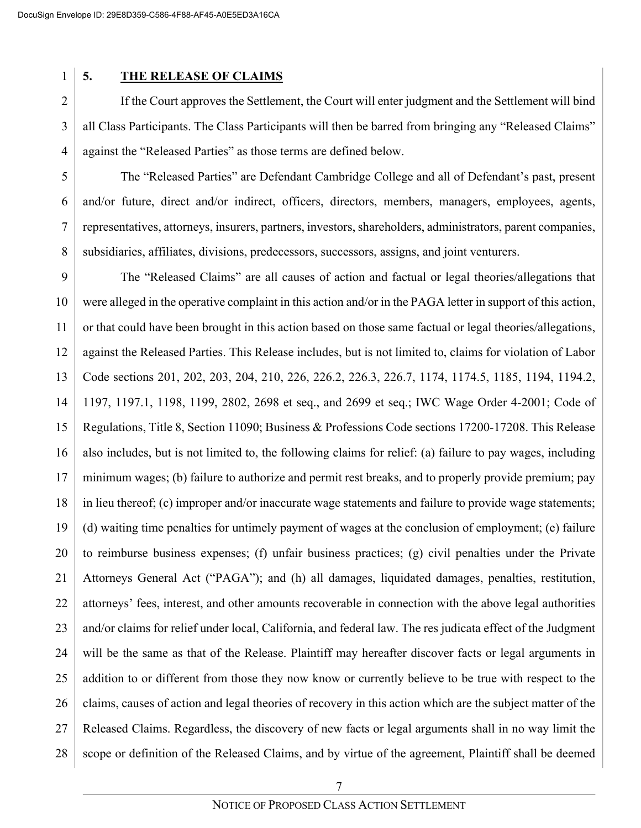### **5. THE RELEASE OF CLAIMS**

2 3 4 If the Court approves the Settlement, the Court will enter judgment and the Settlement will bind all Class Participants. The Class Participants will then be barred from bringing any "Released Claims" against the "Released Parties" as those terms are defined below.

5 6 7 8 The "Released Parties" are Defendant Cambridge College and all of Defendant's past, present and/or future, direct and/or indirect, officers, directors, members, managers, employees, agents, representatives, attorneys, insurers, partners, investors, shareholders, administrators, parent companies, subsidiaries, affiliates, divisions, predecessors, successors, assigns, and joint venturers.

9 10 11 12 13 14 15 16 17 18 19 20 21 22 23 24 25 26 27 28 The "Released Claims" are all causes of action and factual or legal theories/allegations that were alleged in the operative complaint in this action and/or in the PAGA letter in support of this action, or that could have been brought in this action based on those same factual or legal theories/allegations, against the Released Parties. This Release includes, but is not limited to, claims for violation of Labor Code sections 201, 202, 203, 204, 210, 226, 226.2, 226.3, 226.7, 1174, 1174.5, 1185, 1194, 1194.2, 1197, 1197.1, 1198, 1199, 2802, 2698 et seq., and 2699 et seq.; IWC Wage Order 4-2001; Code of Regulations, Title 8, Section 11090; Business & Professions Code sections 17200-17208. This Release also includes, but is not limited to, the following claims for relief: (a) failure to pay wages, including minimum wages; (b) failure to authorize and permit rest breaks, and to properly provide premium; pay in lieu thereof; (c) improper and/or inaccurate wage statements and failure to provide wage statements; (d) waiting time penalties for untimely payment of wages at the conclusion of employment; (e) failure to reimburse business expenses; (f) unfair business practices; (g) civil penalties under the Private Attorneys General Act ("PAGA"); and (h) all damages, liquidated damages, penalties, restitution, attorneys' fees, interest, and other amounts recoverable in connection with the above legal authorities and/or claims for relief under local, California, and federal law. The res judicata effect of the Judgment will be the same as that of the Release. Plaintiff may hereafter discover facts or legal arguments in addition to or different from those they now know or currently believe to be true with respect to the claims, causes of action and legal theories of recovery in this action which are the subject matter of the Released Claims. Regardless, the discovery of new facts or legal arguments shall in no way limit the scope or definition of the Released Claims, and by virtue of the agreement, Plaintiff shall be deemed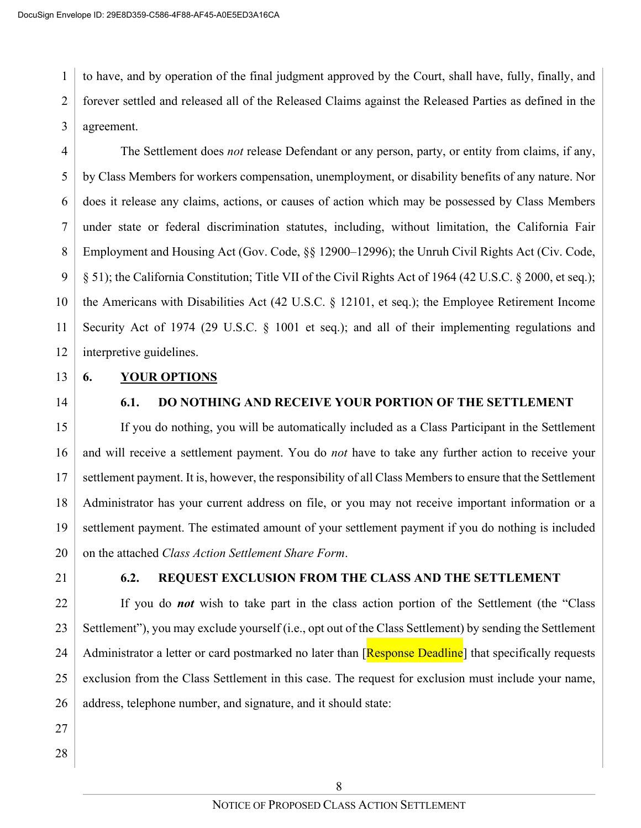1 2 3 to have, and by operation of the final judgment approved by the Court, shall have, fully, finally, and forever settled and released all of the Released Claims against the Released Parties as defined in the agreement.

4 5 6 7 8 9 10 11 12 The Settlement does *not* release Defendant or any person, party, or entity from claims, if any, by Class Members for workers compensation, unemployment, or disability benefits of any nature. Nor does it release any claims, actions, or causes of action which may be possessed by Class Members under state or federal discrimination statutes, including, without limitation, the California Fair Employment and Housing Act (Gov. Code, §§ 12900–12996); the Unruh Civil Rights Act (Civ. Code, § 51); the California Constitution; Title VII of the Civil Rights Act of 1964 (42 U.S.C. § 2000, et seq.); the Americans with Disabilities Act (42 U.S.C. § 12101, et seq.); the Employee Retirement Income Security Act of 1974 (29 U.S.C. § 1001 et seq.); and all of their implementing regulations and interpretive guidelines.

13

#### **6. YOUR OPTIONS**

14

### **6.1. DO NOTHING AND RECEIVE YOUR PORTION OF THE SETTLEMENT**

15 16 17 18 19 20 If you do nothing, you will be automatically included as a Class Participant in the Settlement and will receive a settlement payment. You do *not* have to take any further action to receive your settlement payment. It is, however, the responsibility of all Class Members to ensure that the Settlement Administrator has your current address on file, or you may not receive important information or a settlement payment. The estimated amount of your settlement payment if you do nothing is included on the attached *Class Action Settlement Share Form*.

21

#### **6.2. REQUEST EXCLUSION FROM THE CLASS AND THE SETTLEMENT**

22 23 24 25 26 If you do *not* wish to take part in the class action portion of the Settlement (the "Class Settlement"), you may exclude yourself (i.e., opt out of the Class Settlement) by sending the Settlement Administrator a letter or card postmarked no later than [**Response Deadline**] that specifically requests exclusion from the Class Settlement in this case. The request for exclusion must include your name, address, telephone number, and signature, and it should state:

- 27
- 28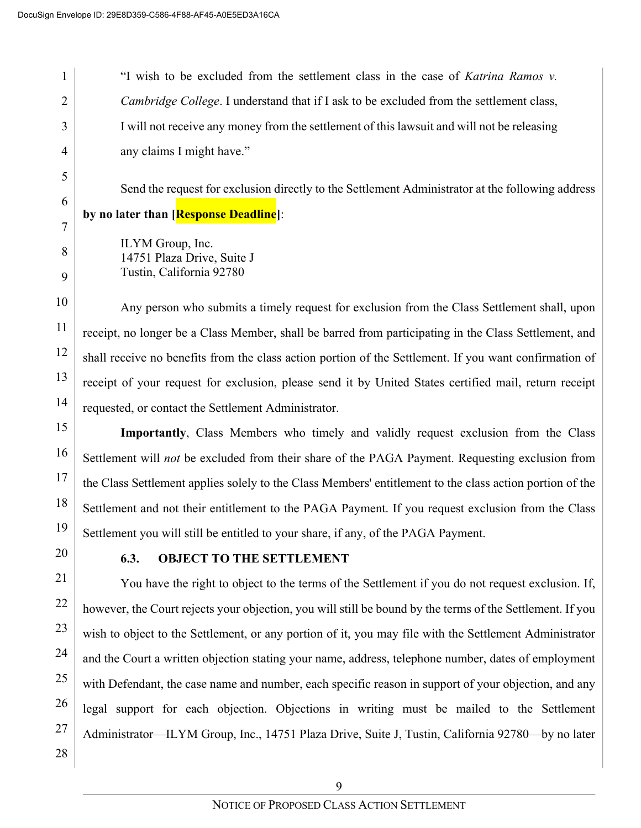2

3

4

5

6

7

8

9

11

"I wish to be excluded from the settlement class in the case of *Katrina Ramos v. Cambridge College*. I understand that if I ask to be excluded from the settlement class, I will not receive any money from the settlement of this lawsuit and will not be releasing any claims I might have."

Send the request for exclusion directly to the Settlement Administrator at the following address **by no later than [Response Deadline]**:

ILYM Group, Inc. 14751 Plaza Drive, Suite J Tustin, California 92780

10 12 13 14 Any person who submits a timely request for exclusion from the Class Settlement shall, upon receipt, no longer be a Class Member, shall be barred from participating in the Class Settlement, and shall receive no benefits from the class action portion of the Settlement. If you want confirmation of receipt of your request for exclusion, please send it by United States certified mail, return receipt requested, or contact the Settlement Administrator.

15 16 17 18 19 **Importantly**, Class Members who timely and validly request exclusion from the Class Settlement will *not* be excluded from their share of the PAGA Payment. Requesting exclusion from the Class Settlement applies solely to the Class Members' entitlement to the class action portion of the Settlement and not their entitlement to the PAGA Payment. If you request exclusion from the Class Settlement you will still be entitled to your share, if any, of the PAGA Payment.

20

## **6.3. OBJECT TO THE SETTLEMENT**

21 22 23 24 25 26 27 You have the right to object to the terms of the Settlement if you do not request exclusion. If, however, the Court rejects your objection, you will still be bound by the terms of the Settlement. If you wish to object to the Settlement, or any portion of it, you may file with the Settlement Administrator and the Court a written objection stating your name, address, telephone number, dates of employment with Defendant, the case name and number, each specific reason in support of your objection, and any legal support for each objection. Objections in writing must be mailed to the Settlement Administrator—ILYM Group, Inc., 14751 Plaza Drive, Suite J, Tustin, California 92780—by no later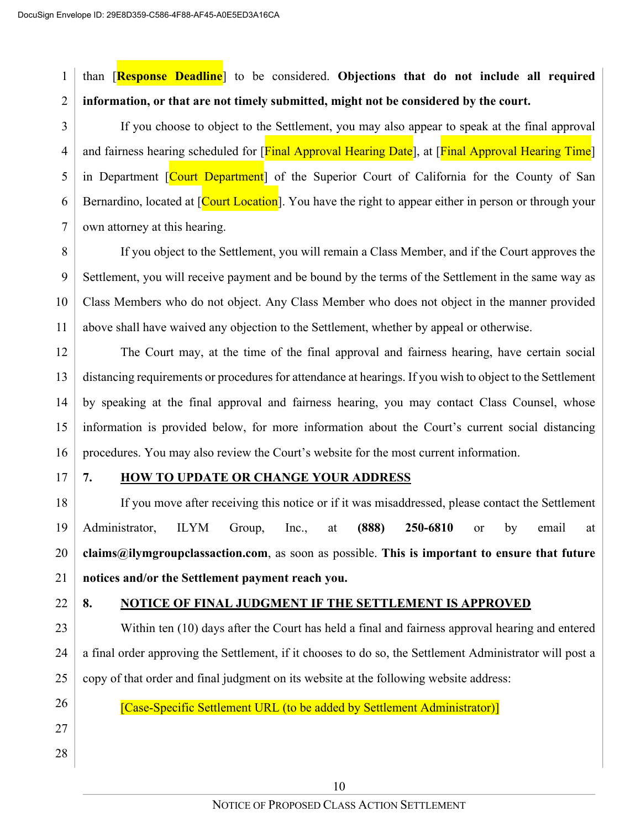1 2 than [**Response Deadline**] to be considered. **Objections that do not include all required information, or that are not timely submitted, might not be considered by the court.**

3 4 5 6 7 If you choose to object to the Settlement, you may also appear to speak at the final approval and fairness hearing scheduled for [Final Approval Hearing Date], at [Final Approval Hearing Time] in Department [Court Department] of the Superior Court of California for the County of San Bernardino, located at [Court Location]. You have the right to appear either in person or through your own attorney at this hearing.

8 9 10 11 If you object to the Settlement, you will remain a Class Member, and if the Court approves the Settlement, you will receive payment and be bound by the terms of the Settlement in the same way as Class Members who do not object. Any Class Member who does not object in the manner provided above shall have waived any objection to the Settlement, whether by appeal or otherwise.

12 13 14 15 16 The Court may, at the time of the final approval and fairness hearing, have certain social distancing requirements or procedures for attendance at hearings. If you wish to object to the Settlement by speaking at the final approval and fairness hearing, you may contact Class Counsel, whose information is provided below, for more information about the Court's current social distancing procedures. You may also review the Court's website for the most current information.

17

### **7. HOW TO UPDATE OR CHANGE YOUR ADDRESS**

18 19 20 21 If you move after receiving this notice or if it was misaddressed, please contact the Settlement Administrator, ILYM Group, Inc., at **(888) 250-6810** or by email at **claims@ilymgroupclassaction.com**, as soon as possible. **This is important to ensure that future notices and/or the Settlement payment reach you.**

22

### **8. NOTICE OF FINAL JUDGMENT IF THE SETTLEMENT IS APPROVED**

23 24 25 Within ten (10) days after the Court has held a final and fairness approval hearing and entered a final order approving the Settlement, if it chooses to do so, the Settlement Administrator will post a copy of that order and final judgment on its website at the following website address:

26

[Case-Specific Settlement URL (to be added by Settlement Administrator)]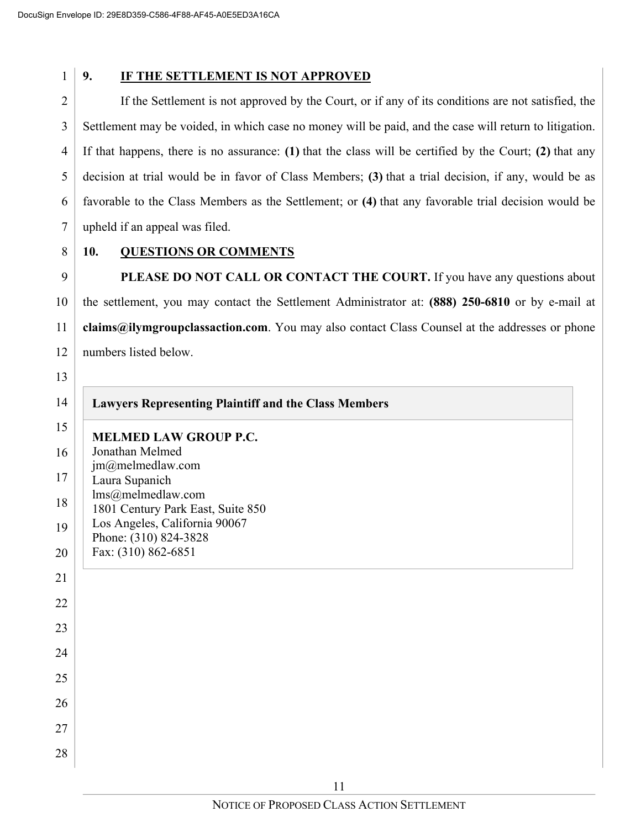### **9. IF THE SETTLEMENT IS NOT APPROVED**

2 3 4 5 6 7 If the Settlement is not approved by the Court, or if any of its conditions are not satisfied, the Settlement may be voided, in which case no money will be paid, and the case will return to litigation. If that happens, there is no assurance: **(1)** that the class will be certified by the Court; **(2)** that any decision at trial would be in favor of Class Members; **(3)** that a trial decision, if any, would be as favorable to the Class Members as the Settlement; or **(4)** that any favorable trial decision would be upheld if an appeal was filed.

8

### **10. QUESTIONS OR COMMENTS**

9 10 11 12 PLEASE DO NOT CALL OR CONTACT THE COURT. If you have any questions about the settlement, you may contact the Settlement Administrator at: **(888) 250-6810** or by e-mail at **claims@ilymgroupclassaction.com**. You may also contact Class Counsel at the addresses or phone numbers listed below.

| <b>Lawyers Representing Plaintiff and the Class Members</b>        |
|--------------------------------------------------------------------|
| <b>MELMED LAW GROUP P.C.</b>                                       |
| Jonathan Melmed                                                    |
| jm@melmedlaw.com                                                   |
| Laura Supanich                                                     |
| lms@melmedlaw.com                                                  |
| 1801 Century Park East, Suite 850<br>Los Angeles, California 90067 |
| Phone: (310) 824-3828                                              |
| Fax: (310) 862-6851                                                |
|                                                                    |
|                                                                    |
|                                                                    |
|                                                                    |
|                                                                    |
|                                                                    |
|                                                                    |
|                                                                    |
|                                                                    |
|                                                                    |
|                                                                    |
|                                                                    |
|                                                                    |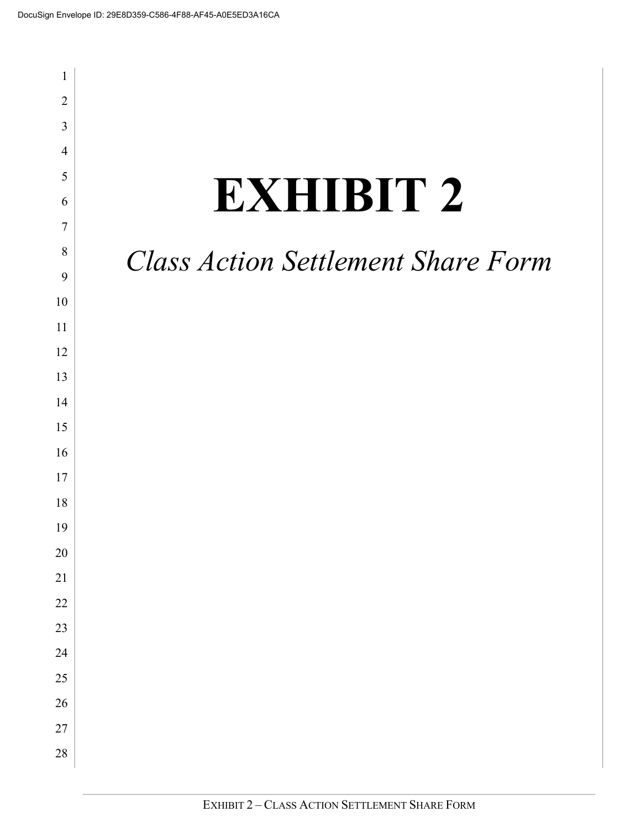